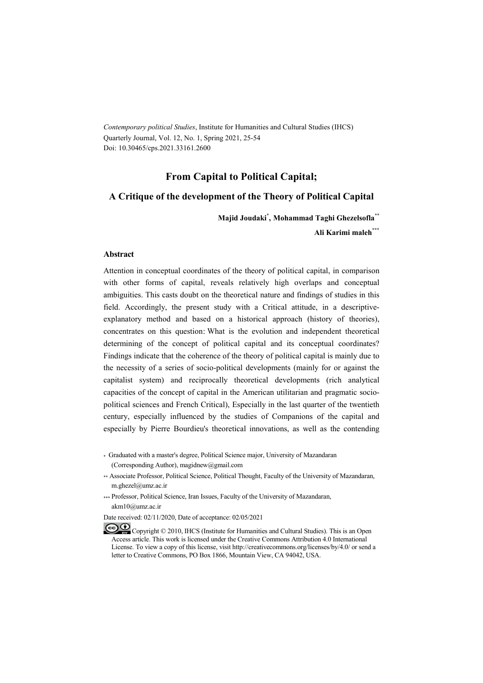*Contemporary political Studies*, Institute for Humanities and Cultural Studies (IHCS) Quarterly Journal, Vol. 12, No. 1, Spring 2021, 25-54 Doi: 10.30465/cps.2021.33161.2600

#### **From Capital to Political Capital;**

#### **A Critique of the development of the Theory of Political Capital**

**Majid Joudaki\* , Mohammad Taghi Ghezelsofla\*\***

**Ali Karimi maleh\*\*\***

#### **Abstract**

Attention in conceptual coordinates of the theory of political capital, in comparison with other forms of capital, reveals relatively high overlaps and conceptual ambiguities. This casts doubt on the theoretical nature and findings of studies in this field. Accordingly, the present study with a Critical attitude, in a descriptiveexplanatory method and based on a historical approach (history of theories), concentrates on this question: What is the evolution and independent theoretical determining of the concept of political capital and its conceptual coordinates? Findings indicate that the coherence of the theory of political capital is mainly due to the necessity of a series of socio-political developments (mainly for or against the capitalist system) and reciprocally theoretical developments (rich analytical capacities of the concept of capital in the American utilitarian and pragmatic sociopolitical sciences and French Critical), Especially in the last quarter of the twentieth century, especially influenced by the studies of Companions of the capital and especially by Pierre Bourdieu's theoretical innovations, as well as the contending

\* Graduated with a master's degree, Political Science major, University of Mazandaran (Corresponding Author), magidnew@gmail.com

\*\* Associate Professor, Political Science, Political Thought, Faculty of the University of Mazandaran, m.ghezel@umz.ac.ir

\*\*\* Professor, Political Science, Iran Issues, Faculty of the University of Mazandaran, akm10@umz.ac.ir

Date received: 02/11/2020, Date of acceptance: 02/05/2021

Copyright © 2010, IHCS (Institute for Humanities and Cultural Studies). This is an Open Access article. This work is licensed under the Creative Commons Attribution 4.0 International License. To view a copy of this license, visit http://creativecommons.org/licenses/by/4.0/ or send a letter to Creative Commons, PO Box 1866, Mountain View, CA 94042, USA.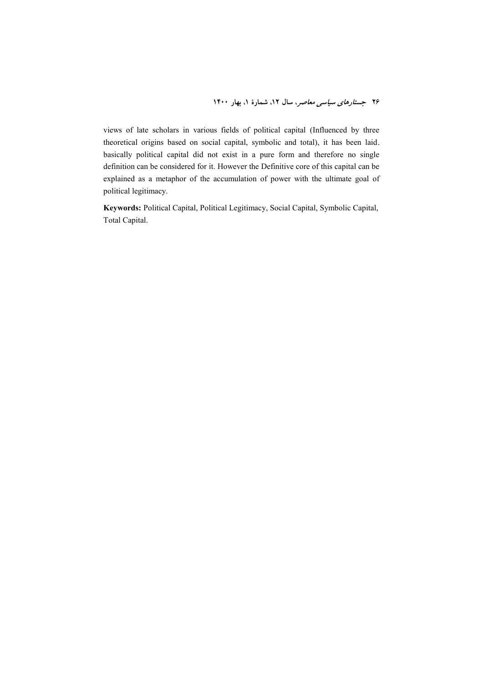views of late scholars in various fields of political capital (Influenced by three theoretical origins based on social capital, symbolic and total), it has been laid. basically political capital did not exist in a pure form and therefore no single definition can be considered for it. However the Definitive core of this capital can be explained as a metaphor of the accumulation of power with the ultimate goal of political legitimacy.

**Keywords:** Political Capital, Political Legitimacy, Social Capital, Symbolic Capital, Total Capital.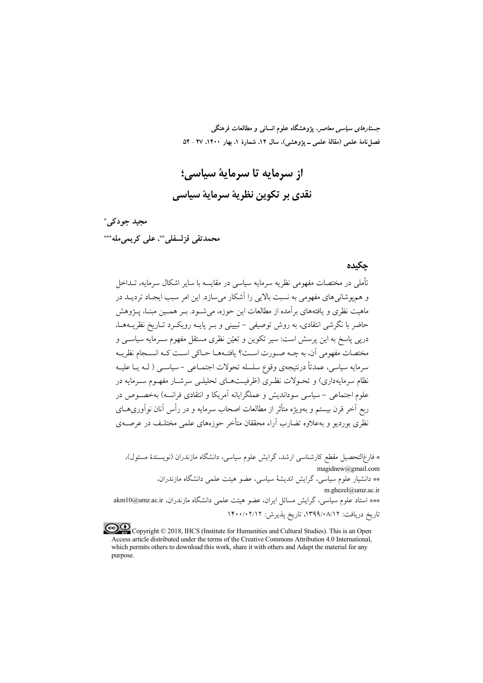*جستارهای سیاسی معاصر*، پژوهشگاه علوم انسانی و مطالعات فرهنگی فصلنامهٔ علمی (مقالهٔ علمی ــ پژوهشی)، سال ۱۲، شمارهٔ ۱، بهار ۱۴۰۰، ۲۷ ـ ۵۴

از سرمايه تا سرماية سياسي؛ نقدي بر تكوين نظرية سرماية سياسي

مجيد جودکيءَ محمدتقى قزلسفلى. \*\*، على كريمى مله \*\*\*

### حكىدە

تأملی در مختصات مفهومی نظریه سرمایه سیاسی در مقایسه با سایر اشکال سرمایه، تــداخل و هم یوشانی های مفهومی به نسبت بالایی را آشکار می سازد. این امر سبب ایجـاد تردیــد در ماهیت نظری و یافتههای برآمده از مطالعات این حوزه، می شـود. بـر همـین مبنـا، پــژوهش حاضر با نگرشی انتقادی، به روش توصیفی – تبیینی و بـر پایـه رویکـرد تــاریخ نظریــههــا، دریی پاسخ به این پرسش است: سیر تکوین و تعیّن نظری مستقل مفهوم سـرمایه سیاســی و مختصات مفهوم ٍ أن، به چــه صــورت اســت؟ يافتــههــا حــاكي اســت كــه انســجام نظريــه سرمايه سياسي، عمدتاً درنتيجەي وقوع سلسله تحولات اجتمـاعى –سياســي ( لــه يــا عليــه نظام سرمایهداری) و تحـولات نظـری (ظرفیــتهــای تحلیلــی سرشــار مفهــوم ســرمایه در علوم اجتماعی – سیاسی سوداندیش و عملگرایانه آمریکا و انتقادی فرانسه) بهخصبوص در ربع أخر قرن بيستم و يهويژه متأثر از مطالعات اصحاب سرمايه و در رأس أنان نوأوريهــاي نظری بوردیو و پهعلاوه تضارب آراء محققان متأخر جوزههای علمی مختلـف در عرصـهی

\* فارغ|لتحصیل مقطع کارشناسی ارشد، گرایش علوم سیاسی، دانشگاه مازندران (نویسندهٔ مسئول)،  $mag$ idnew@gmail.com \_\_<br>\*\* دانشیار علوم سیاسی، گرایش اندیشهٔ سیاسی، عضو هیئت علمی دانشگاه مازندران، m.ghezel@umz.ac.ir \*\*\* استاد علوم سیاسی، گرایش مسائل ایران، عضو هیئت علمی دانشگاه مازندران، akm10@umz.ac.ir تاريخ دريافت: ١٣٩٩/٠٨/١٢، تاريخ پذيرش: ١٤٠٠/٠٢/١٢

Copyright © 2018, IHCS (Institute for Humanities and Cultural Studies). This is an Open Access article distributed under the terms of the Creative Commons Attribution 4.0 International, which permits others to download this work, share it with others and Adapt the material for any purpose.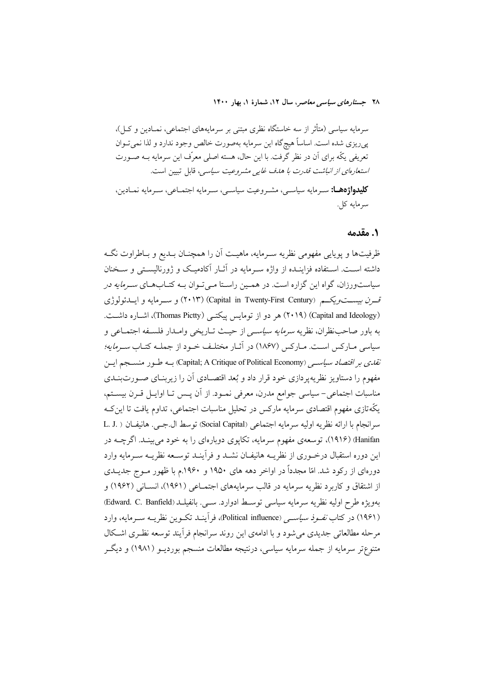سرمایه سیاسی (متأثر از سه خاستگاه نظری مبتنی بر سرمایههای اجتماعی، نمـادین و کــا)، پیریزی شده است. اساساً هیچگاه این سرمایه بهصورت خالص وجود ندارد و لذا نمی تـوان تعریفی یکّه برای آن در نظر گرفت. با این حال، هسته اصلی معرّف این سرمایه بـه صـورت استعارهای از انباشت قدرت با هدف غایی مشروعیت سیاسی، قابل تبیین است. **کلیدواژهها:** سه مایه سیاسه ,، مشه وعیت سیاسه ,، سه مایه اجتمـاعی، سه مایه نمـادین، سرمايه كل.

### ۰. مقدمه

ظرفیتها و یوپایی مفهومی نظریه سـرمایه، ماهیـت آن را همچنــان بــدیع و بــاطراوت نگــه داشته است. استفاده فزاینـده از واژه سـرمایه در آثـار آکادمیـک و ژورنالیسـتی و سـخنان سیاستورزان، گواه این گزاره است. در همـین راسـتا مـی تـوان بـه کتـابهـای *سـرمایه در* قسر*ن بیست ویکیم (*Capital in Twenty-First Century) (۲۰۱۳) و سبز مایه و ایسدئولوژی (Capital and Ideology) (۲۰۱۹) هر دو از تومایس پیکتـی (Thomas Pictty)، اشـاره داشـت. به باور صاحب نظران، نظریه *سرمایه سیاسی* از حیـث تـاریخی وامـدار فلسـفه اجتمـاعی و سیاسی مـارکس اسـت. مـارکس (۱۸۶۷) در آثـار مختلـف خـود از جملـه کتـاب *سـرمایه؛ نقدى بر اقتصاد سياسـي (*Capital; A Critique of Political Economy) بــه طــور منســجم ايــن مفهوم را دستاویز نظریه پردازی خود قرار داد و بُعد اقتصـادی آن را زیربنــای صــورت بنــدی مناسبات اجتماعی-سیاسی جوامع مدرن، معرفی نمـود. از آن پـس تـا اوایـل قـرن بیسـتم، یکّهتازی مفهوم اقتصادی سرمایه مارکس در تحلیل مناسبات اجتماعی، تداوم یافت تا این ک سرانجام با ارائه نظريه اوليه سرمايه اجتماعي (Social Capital) توسط ال جبي. هانيفـان ( .L. J Hanifan) (۱۹۱۶)، توسعهی مفهوم سرمایه، تکایوی دوبارهای را به خود می بینـد. اگرچــه در این دوره استقبال درخـوری از نظریــه هانیفــان نشــد و فرآینــد توســعه نظریــه ســرمایه وارد دورهای از رکود شد. امّا مجدداً در اواخر دهه های ۱۹۵۰ و ۱۹۶۰.م با ظهور مــوج جدیــدی از اشتقاق و کاربرد نظریه سرمایه در قالب سرمایههای اجتمـاعی (۱۹۶۱)، انســانی (۱۹۶۲) و بهويژه طرح اوليه نظريه سرمايه سياسي توسط ادوارد. سـي. بانفيلـد (Edward. C. Banfield) (۱۹۶۱) در کتاب *نفـوذ سیاســی (*Political influence)، فرآینــد تکــوین نظریــه ســرمایه، وارد مرحله مطالعاتی جدیدی می شود و با ادامهی این روند سرانجام فرآیند توسعه نظری اشکال متنوعتر سرمايه از جمله سرمايه سياسي، درنتيجه مطالعات منسجم بورديــو (١٩٨١) و ديگــر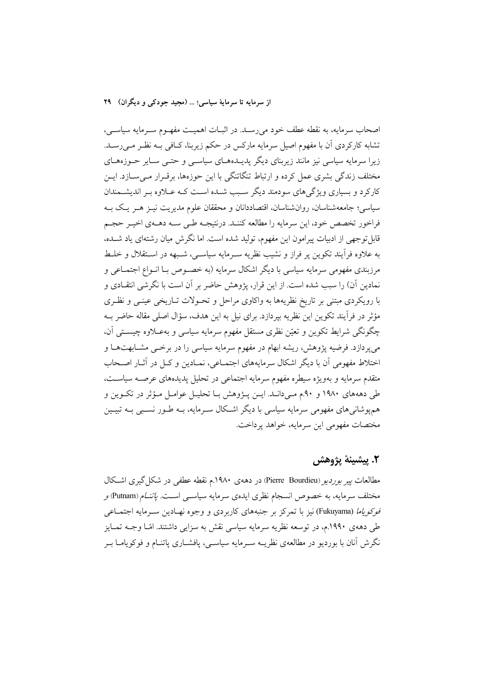اصحاب سرمايه، به نقطه عطف خود مى رسـد. در اثبـات اهميـت مفهـوم سـرمايه سياسـى، تشابه کارکردی آن با مفهوم اصیل سرمایه مارکس در حکم زیربنا، کــافی بــه نظــر مــی(ســد. زیرا سرمایه سیاسی نیز مانند زیربنای دیگر پدیـدههـای سیاسـی و حتـی سـایر حـوزههـای مختلف زندگی بشری عمل کرده و ارتباط تنگاتنگی با این حوزهها، برقـرار مـی۳سـازد. ایــن کارکرد و بسیاری ویژگی های سودمند دیگر سـبب شـده اسـت کـه عــلاوه بــر اندیشــمندان سیاسی؛ جامعهشناسان، روانشناسان، اقتصاددانان و محققان علوم مدیریت نیـز هـر یـک بــه فراخور تخصص خود، این سرمایه را مطالعه کننـد. درنتیجـه طـي سـه دهـهي اخيـر حجـم قابل توجهی از ادبیات پیرامون این مفهوم، تولید شده است. اما نگرش میان رشتهای یاد شــده، به علاوه فرأيند تكوين پر فراز و نشيب نظريه سـرمايه سياسـي، شـبهه در اسـتقلال و خلـط مرزبندی مفهومی سرمایه سیاسی با دیگر اشکال سرمایه (به خصـوص بــا انــواع اجتمــاعی و نمادین آن) را سبب شده است. از این قرار، پژوهش حاضر بر آن است با نگرشی انتقـادی و با رویکردی مبتنی بر تاریخ نظریهها به واکاوی مراحل و تحـولات تــاریخی عینــی و نظـری مؤثر در فرآیند تکوین این نظریه بپردازد. برای نیل به این هدف، سؤال اصلی مقاله حاضر بـه چگونگی شرایط تکوین و تعیّن نظری مستقل مفهوم سرمایه سیاسی و بهعـلاوه چیسـتی آن، میپردازد. فرضیه پژوهش، ریشه ابهام در مفهوم سرمایه سیاسی را در برخــی مشــابهتهـا و اختلاط مفهومی أن با دیگر اشکال سرمایههای اجتمـاعی، نمـادین و کـل در أثـار اصـحاب متقدم سرمايه و بهويژه سيطره مفهوم سرمايه اجتماعي در تحليل يديدههاي عرصـه سياسـت، طی دهههای ۱۹۸۰ و ۹۰م مـیدانـد. ایــن پــژوهش بــا تحلیــل عوامــل مــؤثر در تکــوین و هم یوشانی های مفهومی سرمایه سیاسی با دیگر اشـکال سـرمایه، بــه طــور نســبی بــه تبیــین مختصات مفهومي اين سرمايه، خواهد يرداخت.

# ٢. پيشينۀ پژوهش

مطالعات *ییر بوردیو (*Pierre Bourdieu) در دههی ۱۹۸۰.م نقطه عطفی در شکل گیری اشکال مختلف سرمایه، به خصوص انسجام نظری ایدهی سرمایه سیاســی اسـت. *پاتنــام* (Putnam*) و* فوكوي*اما (*Fukuyama) نيز با تمركز بر جنبههاي كاربردي و وجوه نهـادين سـرمايه اجتمــاعي طی دههی ۱۹۹۰.م، در توسعه نظریه سرمایه سیاسی نقش به سزایی داشتند. امّـا وجــه تمـایز نگرش آنان با بوردیو در مطالعهی نظریــه ســرمایه سیاســی، یافشــاری پاتنــام و فوکوپامــا بــر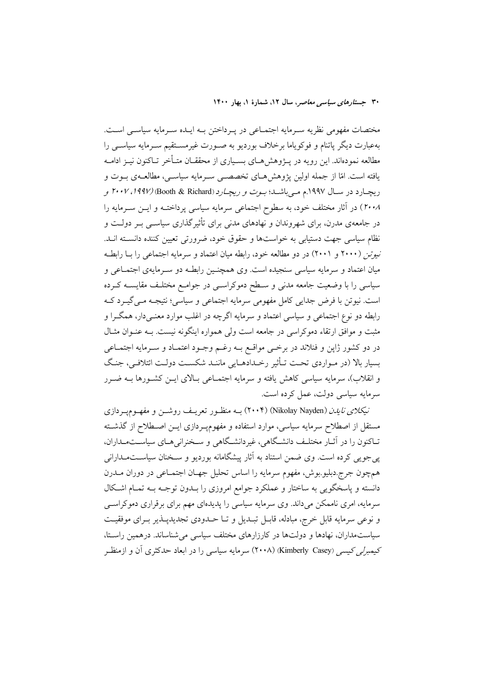مختصات مفهومی نظریه سـرمایه اجتمـاعی در پـرداختن بـه ایـده سـرمایه سیاسـی اسـت. بهعبارت دیگر پاتنام و فوکویاما برخلاف بوردیو به صـورت غیرمســتقیم سـرمایه سیاســی را مطالعه نمودهاند. این رویه در پــژوهش۵حـای بســیاری از محققــان متــأخر تــاکنون نیــز ادامــه يافته است. امّا از جمله اولين يژوهش هـاي تخصصـي سـرمايه سياسـي، مطالعـهي بـوت و ریچـارد در ســال ۱۹۹۷.م مــیباشــد؛ *بــوت و ریچــارد (*Booth & Richard) (۱*۹۹۷، ۲۰۰۷ و* ٢٠٠٨) در آثار مختلف خود، به سطوح اجتماعی سرمایه سیاسی پرداختـه و ایــن ســرمایه را در جامعهی مدرن، برای شهروندان و نهادهای مدنی برای تأثیرگذاری سیاســی بــر دولــت و نظام سیاسی جهت دستیابی به خواستها و حقوق خود، ضرورتی تعیین کننده دانسته انــد. نیوتن (۲۰۰۰ و ۲۰۰۱) در دو مطالعه خود، رابطه میان اعتماد و سرمایه اجتماعی را بـا رابطـه میان اعتماد و سرمایه سیاسی سنجیده است. وی همچنـین رابطـه دو سـرمایهی اجتمـاعی و سیاسی را با وضعیت جامعه مدنی و سـطح دموکراسـی در جوامـع مختلـف مقایســه کــرده است. نيوتن با فرض جدايي كامل مفهومي سرمايه اجتماعي و سياسي؛ نتيجـه مـي گيـرد كـه رابطه دو نوع اجتماعی و سیاسی اعتماد و سرمایه اگرچه در اغلب موارد معنـیدار، همگـرا و مثبت و موافق ارتقاء دموکراسی در جامعه است ولی همواره اینگونه نیست. بـه عنــوان مثــال در دو کشور ژاپن و فنلاند در برخـی مواقـع بــه رغــم وجــود اعتمــاد و ســرمايه اجتمــاعی بسیار بالا (در مـواردی تحـت تـأثیر رخـدادهـایی ماننـد شکسـت دولـت ائتلافـی، جنـگ و انقلاب)، سرمايه سياسي كاهش يافته و سرمايه اجتمــاعي بــالاي ايــن كشــورها بــه ضــرر سرمايه سياسي دولت، عمل كرده است.

نیکلا*ی نایدن (*Nikolay Nayden) (۲۰۰۴) بـه منظـور تعریـف روشــن و مفهــومپــردازی مستقل از اصطلاح سرمایه سیاسی، موارد استفاده و مفهومٖپـردازی ایــن اصــطلاح از گذشــته تـاکنون را در آثــار مختلـف دانشـگاهي، غيردانشـگاهي و ســخنراني۵حـاي سياســتمــداران، پی جویبی کرده است. وی ضمن استناد به آثار پیشگامانه بوردیو و سـخنان سیاسـتمـدارانبی همچون جرج دبلیو بوش، مفهوم سرمایه را اساس تحلیل جهـان اجتمـاعی در دوران مــدرن دانسته و پاسخگویی به ساختار و عملکرد جوامع امروزی را بــدون توجــه بــه تمــام اشــکال سرمایه، امری ناممکن میداند. وی سرمایه سیاسی را پدیدهای مهم برای برقراری دموکراسبی و نوعی سرمایه قابل خرج، مبادله، قابـل تبـدیل و تـا حــدودی تجدیدیــذیر بــرای موفقیــت سیاستمداران، نهادها و دولتها در کارزارهای مختلف سیاسی می شناساند. درهمین راستا، کیمبرلر کیسر (Kimberly Casey) (۲۰۰۸) سرمایه سیاسی را در ابعاد حدکثری آن و ازمنظر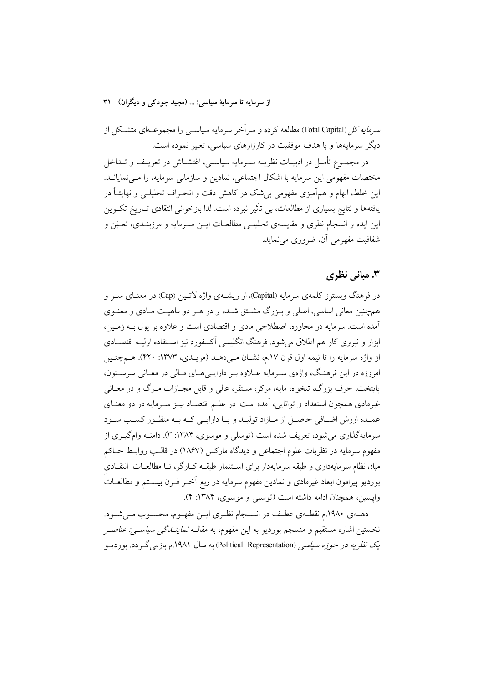سر*مایه کل (*Total Capital) مطالعه کرده و سرآخر سرمایه سیاســی را مجموعــهای متشــکل از دیگر سرمایهها و با هدف موفقیت در کارزارهای سیاسی، تعبیر نموده است.

در مجمـوع تأمـل در ادبيــات نظريــه ســرمايه سياســي، اغتشــاش در تعريــف و تــداخل مختصات مفهومی این سرمایه با اشکال اجتماعی، نمادین و سازمانی سرمایه، را مـی نمایانــد. این خلط، ابهام و همآمیزی مفهومی بیشک در کاهش دقت و انحـراف تحلیلــی و نهایتــاً در یافتهها و نتایج بسیاری از مطالعات، بی تأثیر نبوده است. لذا بازخوانی انتقادی تــاریخ تکــوین اين ايده و انسجام نظري و مقايسهي تحليلـي مطالعــات ايــن ســرمايه و مرزبنــدي، تعـيّن و شفافيت مفهومي آن، ضروري مي نمايد.

## ۳. مبانی نظری

در فرهنگ وبسترز کلمهی سرمایه (Capital)، از ریشــهی واژه لاتــین (Cap) در معنــای ســر و همچنین معانی اساسی، اصلی و بـزرگ مشـتق شـده و در هـر دو ماهیـت مـادی و معنـوی آمده است. سرمایه در محاوره، اصطلاحی مادی و اقتصادی است و علاوه بر پول بــه زمــین، ابزار و نیروی کار هم اطلاق می شود. فرهنگ انگلیسی آکسفورد نیز استفاده اولیـه اقتصـادی از واژه سرمایه را تا نیمه اول قرن ۱۷.م، نشـان مـیدهـد (مریـدی، ۱۳۷۳: ۴۲۰). هـمچنـین امروزه در اين فرهنگ، واژهي سـرمايه عــلاوه بـر دارايــي هــاي مــالي در معــاني سرســتون، پایتخت، حرف بزرگ، تنخواه، مایه، مرکز، مستقر، عالی و قابل مجـازات مـرگ و در معــانی غیرمادی همچون استعداد و توانایی، آمده است. در علـم اقتصـاد نیــز ســرمایه در دو معنــای عمـده ارزش اضـافي حاصـل از مـازاد توليـد و يـا دارايـي كـه بـه منظـور كسـب سـود سرمايهگذاري مي شود، تعريف شده است (توسلي و موسوي، ١٣٨۴: ٣). دامنـه وامگيـري از مفهوم سرمايه در نظريات علوم اجتماعي و ديدگاه ماركس (١٨۶٧) در قالـب روابـط حــاكم میان نظام سرمایهداری و طبقه سرمایهدار برای استثمار طبقـه کـارگر، تـا مطالعـات انتقـادی بورديو پيرامون ابعاد غيرمادي و نمادين مفهوم سرمايه در ربع آخـر قــرن بيســتم و مطالعــات واپسین، همچنان ادامه داشته است (توسلی و موسوی، ۱۳۸۴: ۴).

دهـهي ١٩٨٠م نقطـهي عطـف در انســجام نظـري ايــن مفهـوم، محسـوب مـيشـود. نخستین اشاره مستقیم و منسجم بوردیو به این مفهوم، به مقالــه *نماینــدگی سیاســی: عناصــر* یک *نظریه در حوزه سیاسی (*Political Representation) به سال ۱۹۸۱.م بازمی گـردد. بوردیــو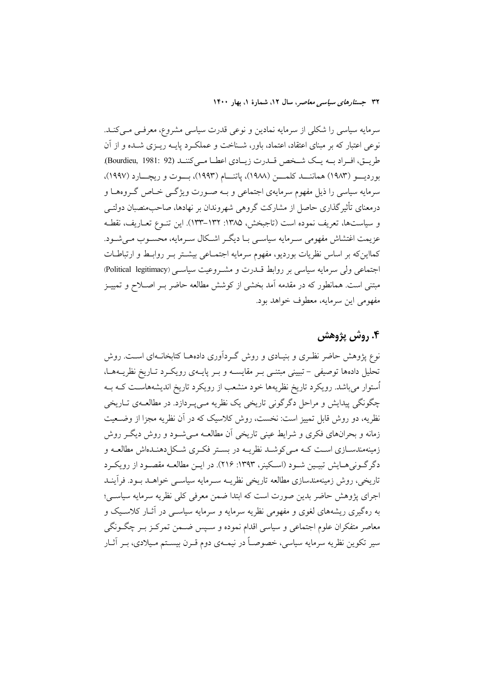سرمایه سیاسی را شکلی از سرمایه نمادین و نوعی قدرت سیاسی مشروع، معرفی می کنـد. نوعی اعتبار که بر مبنای اعتقاد، اعتماد، باور، شـناخت و عملکـرد پایــه ریــزی شــده و از آن طريـق، افـراد بـه يـك شـخص قـدرت زيـادي اعطـا مـيكننـد (Bourdieu, 1981: 92). بورديسو (١٩٨٣) هماننــد كلمـــن (١٩٨٨)، ياتنـــام (١٩٩٣)، بـــوت و ريچـــارد (١٩٩٧)، سرمایه سیاسی را ذیل مفهوم سرمایهی اجتماعی و بـه صـورت ویژگـی خـاص گـروههـا و درمعنای تأثیرگذاری حاصل از مشارکت گروهی شهروندان بر نهادها، صاحبمنصبان دولتــی و سياستها، تعريف نموده است (تاجبخش، ١٣٨٥: ١٣٢–١٣٣). اين تنـوع تعـاريف، نقطـه عزیمت اغتشاش مفهومی سـرمایه سیاسـی بـا دیگـر اشـکال سـرمایه، محسـوب مـی شـود. كمااينكه بر اساس نظريات بورديو، مفهوم سرمايه اجتمـاعي بيشـتر بـر روابـط و ارتباطـات اجتماعی ولی سرمایه سیاسی بر روابط قــدرت و مشــروعیت سیاســی (Political legitimacy) مبتنی است. همانطور که در مقدمه آمد بخشی از کوشش مطالعه حاضر بـر اصـلاح و تمییـز مفهومي ابن سرمايه، معطوف خواهد بود.

# ۴. روش پژوهش

نوع یژوهش حاضر نظـری و بنیـادی و روش گـردآوری دادههـا کتابخانـهای اسـت. روش تحلیل دادهها توصیفی – تبیینی مبتنـی بـر مقایســه و بـر پایــهی رویکـرد تـاریخ نظریــههـا، اُستوار میباشد. رویکرد تاریخ نظریهها خود منشعب از رویکرد تاریخ اندیشههاست کـه بـه چگونگی پیدایش و مراحل دگرگونی تاریخی یک نظریه مے پـردازد. در مطالعــهی تــاریخی نظریه، دو روش قابل تمییز است: نخست، روش کلاسیک که در آن نظریه مجزا از وضـعیت زمانه و بحرانهای فکری و شرایط عینی تاریخی اَن مطالعـه مـی شـود و روش دیگـر روش زمینهمندسـازی اسـت کـه مـی کوشـد نظریـه در بسـتر فکـری شـکل(دهنـدهاش مطالعـه و دگر گــونی هــايش تبيــين شــود (اســكينر، ١٣٩٣: ٢١۶). در ايــن مطالعــه مقصــود از رويكــرد تاریخی، روش زمینهمندسازی مطالعه تاریخی نظریــه ســرمایه سیاســی خواهــد بــود. فرأینــد اجرای پژوهش حاضر بدین صورت است که ابتدا ضمن معرفی کلی نظریه سرمایه سیاسی؛ به رهگیری ریشههای لغوی و مفهومی نظریه سرمایه و سرمایه سیاســی در آثــار کلاســیک و معاصر متفکران علوم اجتماعی و سیاسی اقدام نموده و سـپس ضـمن تمرکـز بـر چگـونگی سیر تکوین نظریه سرمایه سیاسی، خصوصـاً در نیمــهی دوم قــرن بیســتم مـیلادی، بــر آثــار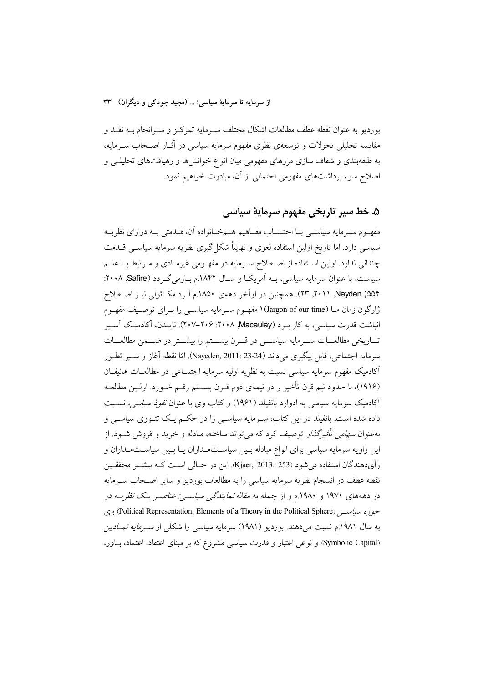بوردیو به عنوان نقطه عطف مطالعات اشکال مختلف سـرمایه تمرکـز و سـرانجام بــه نقــد و مقایسه تحلیلی تحولات و توسعهی نظری مفهوم سرمایه سیاسی در آثـار اصـحاب سـرمایه، به طبقهبندی و شفاف سازی مرزهای مفهومی میان انواع خوانش ها و رهیافتهای تحلیلـی و اصلاح سوء برداشتهای مفهومی احتمالی از آن، مبادرت خواهیم نمود.

# ۵. خط سير تاريخي مفهوم سرمايهٔ سياسي

مفهـوم سـرمايه سياسـي بــا احتســاب مفــاهيم هــمخــانواده آن، قــدمتي بــه درازاي نظريــه سیاسی دارد. امّا تاریخ اولین استفاده لغوی و نهایتاً شکل گیری نظریه سرمایه سیاســی قــدمت چندانی ندارد. اولین استفاده از اصطلاح سـرمایه در مفهـومی غیرمـادی و مـرتبط بـا علـم سیاست، با عنوان سرمایه سیاسی، بــه اَمریکــا و ســال ۱۸۴۲.م بــازمی گــردد (۲۰۰۸, ۲۰۰۸: ۵۵۴; Nayden, ۲۰۱۱, ۲۳). همچنین در اواخر دههی ۱۸۵۰.م لـرد مکـائولی نیـز اصـطلاح ژارگون زمان مــا (Jargon of our time) ۱ مفهــوم ســرمايه سياســي را بــراي توصــيف مفهــوم انباشت قدرت سیاسی، به کار به د Macaulay) ۲۰۰۸. ۲۰۰۶-۲۰۷). نایـدن، آکادمیـک آسـیر تساریخی مطالعسات سسرمایه سیاسسی در قسرن بیسستم را بیشستر در ضسمن مطالعسات سرمايه اجتماعي، قابل پيگيري مي(اند (24-23 :Nayeden, 2011). امّا نقطه آغاز و سـير تطـور ۔<br>اکادمیک مفهوم سرمایه سیاسی نسبت به نظریه اولیه سرمایه اجتمــاعی در مطالعــات هانیفــان (١٩١۶)، با حدود نيم قرن تأخير و در نيمهي دوم قـرن بيسـتم رقـم خـورد. اولـين مطالعــه آکادمیک سرمایه سیاسی به ادوارد بانفیلد (۱۹۶۱) و کتاب وی با عنوان *نفوذ سیاسی،* نسـبت داده شده است. بانفیلد در این کتاب، سـرمایه سیاسـی را در حکـم یـک تئـوری سیاسـی و بهعنوان *سهامی تأثیرگذار* توصیف کرد که می تواند ساخته، مبادله و خرید و فروش شــود. از این زاویه سرمایه سیاسی برای انواع مبادله بسین سیاستمداران یـا بسین سیاسـتمـداران و رأىدهندگان استفاده مى شود (Kjaer, 2013: 253). اين در حــالى اســت كــه بيشــتر محققــين نقطه عطف در انسجام نظريه سرمايه سياسى را به مطالعات بورديو و ساير اصـحاب ســرمايه در دهههای ۱۹۷۰ و ۱۹۸۰.م و از جمله به مقاله *نمایندگ<sub>ی</sub> سیاس<sub>تی</sub>: عناصـر یـک نظریـه در* حوزه سیاست, (Political Representation; Elements of a Theory in the Political Sphere) وی به سال ۱۹۸۱.م نسبت میدهند. بوردیو (۱۹۸۱) سرمایه سیاسی را شکلی از *سـرمایه نمـادین* (Symbolic Capital) و نوعی اعتبار و قدرت سیاسی مشروع که بر مبنای اعتقاد، اعتماد، باور،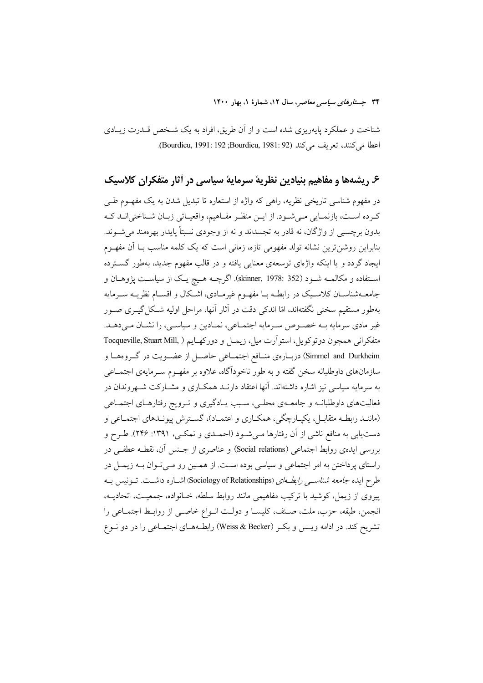شناخت و عملکرد پایهریزی شده است و از اَن طریق، افراد به یک شـخص قــدرت زیــادی اعطا مي كنند، تعريف مي كند (Bourdieu, 1991: 192 ;Bourdieu, 1991).

۶. ریشهها و مفاهیم بنیادین نظریهٔ سرمایهٔ سیاسی در آثار متفکران کلاسیک

در مفهوم شناسی تاریخی نظریه، راهی که واژه از استعاره تا تبدیل شدن به یک مفهـوم طـی كرده است، بازنمـايي مـي شـود. از ايـن منظـر مفـاهيم، واقعيـاتي زبـان شـناختي|نــد كــه بدون برچسبی از واژگان، نه قادر به تجسداند و نه از وجودی نسبتاً پایدار بهرهمند میشوند. بنابراین روشن ترین نشانه تولد مفهومی تازه، زمانی است که یک کلمه مناسب بـا آن مفهـوم ایجاد گردد و یا اینکه واژهای توسعهی معنایی یافته و در قالب مفهوم جدید، بهطور گسترده استفاده و مکالمـه شـود (skinner, 1978: 352). اگرچـه هـيچ يـک از سياسـت يژوهـان و جامعـهشناسـان كلاسـيک در رابطـه بـا مفهـوم غيرمـادي، اشـكال و اقسـام نظريــه سـرمايه بهطور مستقیم سخنی نگفتهاند، امّا اندکی دقت در آثار آنها، مراحل اولیه شـکل گیــری صــور غیر مادی سرمایه بـه خصـوص سـرمایه اجتمـاعی، نمـادین و سیاسـی، را نشـان مـی دهـد. متفكراني همچون دوتوكويل، استواّرت ميل، زيمـل و دوركهـايم ( Tocqueville, Stuart Mill, Simmel and Durkheim) دربــارهي منــافع اجتمــاعي حاصــل از عضــويت در گــروههــا و .<br>سازمانهای داوطلبانه سخن گفته و به طور ناخودآگاه، علاوه بر مفهـوم سـرمایهی اجتمــاعی به سرمایه سیاسی نیز اشاره داشتهاند. آنها اعتقاد دارنــد همکــاری و مشــارکت شــهروندان در فعالیتهای داوطلبانــه و جامعــهی محلــی، سـبب یــادگیری و تــرویج رفتارهــای اجتمــاعی (ماننـد رابطـه متقابــل، يكپــارچگي، همكــاري و اعتمــاد)، گســترش پيونــدهاي اجتمــاعي و دست یابی به منافع ناشی از آن رفتارها مـیشـود (احمـدی و نمکـی، ۱۳۹۱: ۲۴۶). طـرح و بررسم ٍ ايدهى روابط اجتماعي (Social relations) و عناصري از جـنس آن، نقطـه عطفـي در راستای پرداختن به امر اجتماعی و سیاسی بوده است. از همـین رو مـیتوان بـه زیمـل در طرح ایده *جامعه شناسمی رابط ای (*Sociology of Relationships) اشباره داشت. تسونیس بـه پیروی از زیمل، کوشید با ترکیب مفاهیمی مانند روابط سلطه، خـانواده، جمعیـت، اتحادیــه، انجمن، طبقه، حزب، ملت، صنف، كليســا و دولـت انــواع خاصــي از روابــط اجتمــاعي را تشریح کند. در ادامه ویـس و بکـر (Weiss & Becker) رابطـههـای اجتمـاعی را در دو نـوع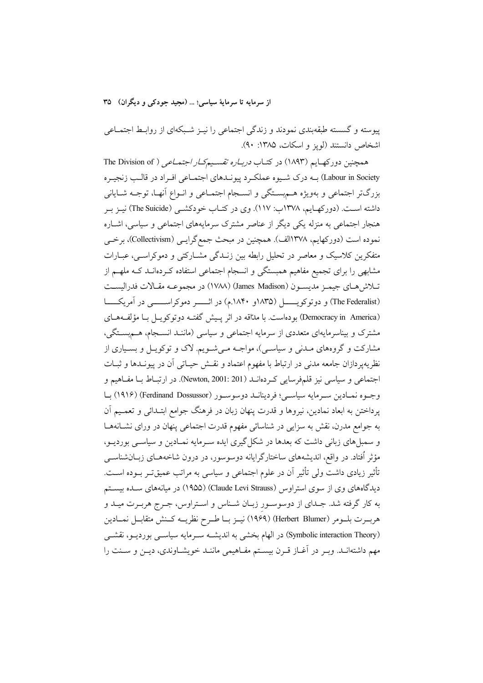پیوسته و گسسته طبقهبندی نمودند و زندگی اجتماعی را نیـز شـبکهای از روابـط اجتمــاعی اشخاص دانستند (لویز و اسکات، ۱۳۸۵: ۹۰).

همچنین دورکهایم (۱۸۹۳) در کتـاب *دربـاره تقسـیمکـار اجتمـاعی* ( The Division of Labour in Society) بـه درک شـيوه عملکـرد پيونـدهاي اجتمـاعي افـراد در قالـب زنجيـره بزرگتر اجتماعی و بهویژه هــمېســتگی و انســجام اجتمــاعی و انــواع آنهــا، توجــه شــایانی داشته اسـت. (دورکهـايم، ۱۳۷۸ب: ۱۱۷). وي در کتـاب خودکشــي (The Suicide) نيـز بـر هنجار اجتماعی به منزله یکی دیگر از عناصر مشترک سرمایههای اجتماعی و سیاسی، اشـاره نموده است (دورکهایم، ۱۳۷۸الف). همچنین در مبحث جمع گرایـی (Collectivism)، برخــی متفکرین کلاسیک و معاصر در تحلیل رابطه بین زنــدگی مشــارکتی و دموکراســی، عبــارات مشابهی را برای تجمیع مفاهیم همبستگی و انسجام اجتماعی استفاده کـردهانــد کــه ملهــم از تلاش هـاي جيمـز مديسـون (James Madison) (١٧٨٨) در مجموعـه مقـالات فدراليسـت (The Federalist) و دوتوکویــــــل (۱۸۴۵و ۱۸۴۰م) در اثـــــــر دموکراســــــــی در آمریکــــــا (Democracy in America) بودهاست. با مداقه در اثر پـیش گفتـه دوتوکویـل بـا مؤلفـههـای مشترک و بیناسرمایهای متعددی از سرمایه اجتماعی و سیاسی (ماننـد انســجام، هــمېســتگی، مشارکت و گروههای مـدنی و سیاسـی)، مواجـه مـیشـویم. لاک و توکویـل و بسـیاری از نظریهپردازان جامعه مدنی در ارتباط با مفهوم اعتماد و نقــش حیــاتی اَن در پیونــدها و ثبــات اجتماعي و سياسي نيز قلمفرسايي كردهانــد (Newton, 2001: 201). در ارتبــاط بــا مفــاهيم و وجـوه نمـادين سـرمايه سياسـي؛ فردينانــد دوسوسـور (Ferdinand Dossussor) بـا یرداختن به ابعاد نمادین، نیروها و قدرت پنهان زبان در فرهنگ جوامع ابتـدائی و تعمـیم آن به جوامع مدرن، نقش به سزایی در شناسائی مفهوم قدرت اجتماعی پنهان در ورای نشـانههـا و سمبلهای زبانی داشت که بعدها در شکل گیری ایده سـرمایه نمـادین و سیاســی بوردیــو، مؤثر اُفتاد. در واقع، اندیشههای ساختارگرایانه دوسوسور، در درون شاخههــای زبــانشناســـی تأثیر زیادی داشت ولی تأثیر آن در علوم اجتماعی و سیاسی به مراتب عمیقتر بــوده اســت. دیدگاههای وی از سوی استراوس (Claude Levi Strauss) (۱۹۵۵) در میانههای سـده بیسـتم به کار گرفته شد. جـدای از دوسوسـور زبـان شـناس و اسـتراوس، جـرج هربـرت میـد و هربــرت بلــومر (Herbert Blumer) (١٩۶٩) نيــز بــا طــرح نظريــه كــنش متقابــل نمــادين (Symbolic interaction Theory) در الهام بخشی به اندیشـه سـرمایه سیاســی بوردیــو، نقشــی مهم داشتهانـد. وبـر در اَغــاز قــرن بيســتم مفــاهيمي ماننــد خويشــاوندي، ديــن و ســنت را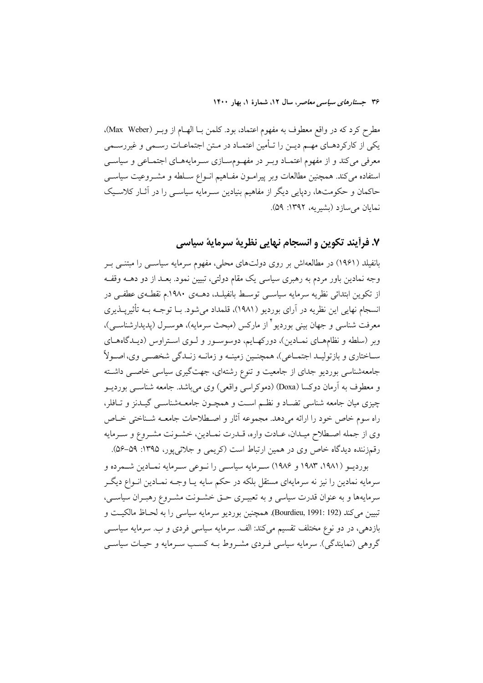مطرح كرد كه در واقع معطوف به مفهوم اعتماد، بود. كلمن بــا الهــام از وبــر (Max Weber). یکی از کارکردهـای مهـم دیــن را تــأمین اعتمـاد در مـتن اجتماعـات رســمی و غیررســمی معرفی میکند و از مفهوم اعتمـاد وبـر در مفهـومسـازی سـرمایههـای اجتمـاعی و سیاســی استفاده می کند. همچنین مطالعات وبر پیرامون مفـاهیم انـواع سـلطه و مشـروعیت سیاسـی حاکمان و حکومتها، ردپایی دیگر از مفاهیم بنیادین سـرمایه سیاسـی را در آثـار کلاسـیک نمايان مي سازد (بشيريه، ١٣٩٢: ٥٩).

## ٧. فرأيند تكوين و انسجام نهايي نظرية سرماية سياسي

بانفیلد (۱۹۶۱) در مطالعهاش بر روی دولتهای محلی، مفهوم سرمایه سیاســی را مبتنــی بــر وجه نمادین باور مردم به رهبری سیاسی یک مقام دولتی، تبیین نمود. بعــد از دو دهــه وقفــه از تکوین ابتدائی نظریه سرمایه سیاسبی توسط بانفیلـد، دهــهی ۱۹۸۰.م نقطـهی عطفــی در انسجام نهایی این نظریه در آرای بوردیو (۱۹۸۱)، قلمداد می شود. بــا توجــه بــه تأثیریــذیری معرفت شناسی و جهان بینی بوردیو ٔ از مارکس (مبحث سرمایه)، هوسـرل (پدیدارشناسـی)، وبر (سلطه و نظامهای نمـادین)، دورکهـایم، دوسوسـور و لـوی اسـتراوس (دیـدگاههـای سـاختاري و بازتوليـد اجتمـاعي)، همچنـين زمينــه و زمانــه زنــدگي شخصــي وي،اصــولاً جامعهشناسی بوردیو جدای از جامعیت و تنوع رشتهای، جهتگیری سیاسی خاصبی داشته و معطوف به آرمان دوکسا (Doxa) (دموکراسی واقعی) وی میباشد. جامعه شناسبی بوردیــو چیزی میان جامعه شناسی تضـاد و نظـم اسـت و همچــون جامعــهشناســی گیــدنز و تــافلر، راه سوم خاص خود را ارائه مىدهد. مجموعه آثار و اصطلاحات جامعـه شـناختى خـاص وي از جمله اصطلاح ميـدان، عـادت واره، قـدرت نمـادين، خشـونت مشـروع و سـرمايه رقمزننده دیدگاه خاص وی در همین ارتباط است (کریمی و جلائیپور، ۱۳۹۵: ۵۹–۵۶).

بورديـو (١٩٨١، ١٩٨٣ و ١٩٨۶) سـرمايه سياسـي را نـوعي سـرمايه نمـادين شـمرده و سرمایه نمادین را نیز نه سرمایهای مستقل بلکه در حکم سایه یـا وجـه نمـادین انــواع دیگــر سرمایهها و به عنوان قدرت سیاسی و به تعبیــری حــق خشــونت مشــروع رهبــران سیاســی، تبيين مي كند (Bourdieu, 1991: 192). همچنين بورديو سرمايه سياسي را به لحـاظ مالكيـت و بازدهی، در دو نوع مختلف تقسیم میکند: الف سرمایه سیاسی فردی و ب سرمایه سیاسی گروهي (نمايندگي). سرمايه سياسي فـردي مشـروط بــه كسـب سـرمايه و حيـات سياســي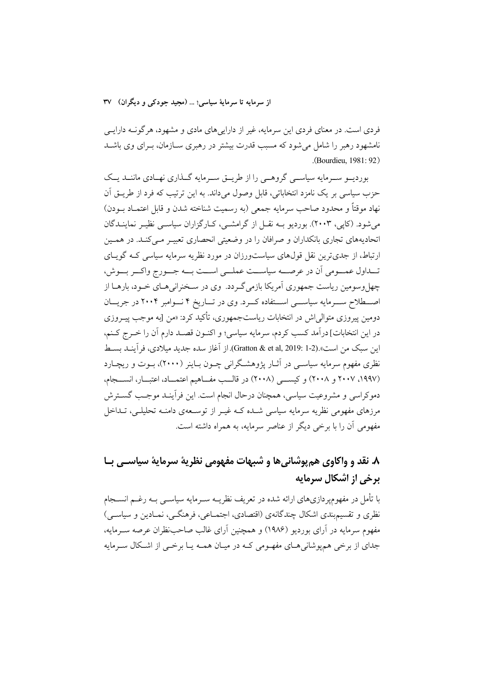فردی است. در معنای فردی این سرمایه، غیر از داراییهای مادی و مشهود، هرگونـه دارایــی نامشهود رهبر را شامل می شود که مسبب قدرت بیشتر در رهبری سـازمان، بـرای وی باشــد .(Bourdieu, 1981: 92)

بوردیسو سـرمایه سیاسـی گروهـی را از طریــق سـرمایه گــذاری نهـادی ماننــد یــک حزب سیاسی بر یک نامزد انتخاباتی، قابل وصول میداند. به این ترتیب که فرد از طریــق اَن نهاد موقتاً و محدود صاحب سرمايه جمعي (به رسميت شناخته شدن و قابل اعتمــاد بــودن) می شود. (کایی، ۲۰۰۳). بوردیو بـه نقــل از گرامشــی، کــارگزاران سیاســی نظیــر نماینــدگان اتحادیههای تجاری بانکداران و صرافان را در وضعیتی انحصاری تعبیـر مـی کنـد. در همـین ارتباط، از جدیترین نقل قولهای سیاستورزان در مورد نظریه سرمایه سیاسی کـه گویـای تــداول عمـــومي أن در عرصـــه سياســـت عملـــي اســت بـــه جـــورج واكـــر بـــوش، چهل وسومین ریاست جمهوری آمریکا بازمی گـردد. وی در سـخنرانی هـای خـود، بارهــا از اصطلاح ســرمايه سياســـي اســـتفاده كــرد. وي در تـــاريخ ۴ نـــوامبر ۲۰۰۴ در جريـــان دومین پیروزی متوال<sub>ی</sub>اش در انتخابات ریاستجمهوری، تأکید کرد: «من [به موجب پیــروزی در اين انتخابات] درآمد كسب كردم، سرمايه سياسي؛ و اكنـون قصـد دارم أن را خـرج كـنم، اين سبك من است».(Gratton & et al, 2019: 1-2). از آغاز سده جديد ميلادي، فرآينـد بســط نظری مفهوم سرمایه سیاســی در آثــار پژوهشــگرانی چــون بــاینر (۲۰۰۰)، بــوت و ریچــارد (١٩٩٧، ٢٠٠٧ و ٢٠٠٨) و كيسبي (٢٠٠٨) در قاليب مفساهيم اعتمياد، اعتبيار، انسيجام، دموكراسي و مشروعيت سياسي، همچنان درحال انجام است. اين فرآينـد موجـب گســترش مرزهای مفهومی نظریه سرمایه سیاسی شـده کـه غیـر از توسـعهی دامنـه تحلیلـی، تـداخل مفهومی أن را با برخی دیگر از عناصر سرمایه، به همراه داشته است.

# ٨. نقد و واکاوي هم يوشاني ها و شيهات مفهومي نظريهٔ سرمايهٔ سياسـي بـا برخی از اشکال سرمایه

با تأمل در مفهومپردازیهای ارائه شده در تعریف نظریــه ســرمایه سیاســی بــه رغــم انســجام نظري و تقسیم بندي اشكال چندگانهي (اقتصادي، اجتمــاعي، فرهنگــي، نمــادين و سياســي) مفهوم سرمایه در آرای بوردیو (۱۹۸۶) و همچنین آرای غالب صاحبنظران عرصه ســرمایه، جدای از برخی همپوشانی های مفهومی کـه در میـان همـه یـا برخـی از اشـكال سـرمایه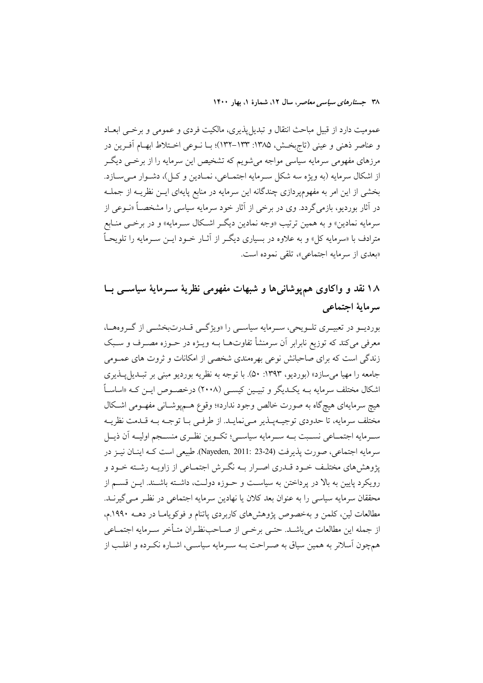عمومیت دارد از قبیل مباحث انتقال و تبدیلپذیری، مالکیت فردی و عمومی و برخــی ابعـاد و عناصر ذهني و عيني (تاج بخش، ١٣٨٥: ١٣٣-١٣٢)؛ بيا نسوعي اختلاط ابهام أفيرين در مرزهای مفهومی سرمایه سیاسی مواجه میشویم که تشخیص این سرمایه را از برخــی دیگــر از اشکال سرمایه (به ویژه سه شکل سـرمایه اجتمـاعی، نمـادین و کـل)، دشـوار مـیسـازد. بخشی از این امر به مفهومپردازی چندگانه این سرمایه در منابع پایهای ایــن نظریــه از جملــه در آثار بوردیو، بازمی گردد. وی در برخی از آثار خود سرمایه سیاسی را مشخصــاً «نــوعی از سرمايه نمادين» و به همين ترتيب «وجه نمادين ديگـر اشـكال سـرمايه» و در برخـي منـابع مترادف با «سرمایه کل» و به علاوه در بسیاری دیگـر از آثــار خــود ایــن ســرمایه را تلویحــاً «بعدي از سرمايه اجتماعي»، تلقى نموده است.

# ۱۸ نقد و واکاوی همپوشانیها و شبهات مفهومی نظریهٔ سـرمایهٔ سیاســی بــا سرماية اجتماعي

بوردیــو در تعبیــری تلــویحی، ســرمایه سیاســی را «ویژگــی قــدرتبخشــی از گــروههــا، معرفی میکند که توزیع نابرابر آن سرمنشأ تفاوتهـا بــه ویــژه در حــوزه مصــرف و ســبک زندگی است که برای صاحبانش نوعی بهرهمندی شخصی از امکانات و ثروت های عمـومی جامعه را مهيا مي سازد» (بورديو، ١٣٩٣: ۵٠). با توجه به نظريه بورديو مبنى بر تبـديل يـذيري اشکال مختلف سرمایه بــه یکــدیگر و تبیــین کیســی (۲۰۰۸) درخصــوص ایــن کــه «اساســاً هيچ سرمايهاي هيچگاه به صورت خالص وجود ندارد»؛ وقوع هــميوشــاني مفهــومي اشــكال مختلف سرمايه، تا حدودي توجيـهيـذير مـىنمايـد. از طرفـى بـا توجـه بـه قـدمت نظريــه سـرمايه اجتمــاعي نســبت بــه ســرمايه سياســي؛ تكــوين نظــري منســجم اوليــه آن ذيــل سرمايه اجتماعي، صورت يذيرفت (Nayeden, 2011: 23-24). طبيعي است كــه اينــان نيــز در پژوهش های مختلـف خـود قــدری اصــرار بــه نگــرش اجتمــاعی از زاویــه رشــته خــود و رویکرد پایین به بالا در برداختن به سیاست و حـوزه دولـت، داشـته باشـند. ایــن قســم از محققان سرمايه سياسي را به عنوان بعد كلان يا نهادين سرمايه اجتماعي در نظـر مـي گيرنــد. مطالعات لین، کلمن و بهخصوص یژوهشهای کاربردی یاتنام و فوکویامـا در دهــه ۱۹۹۰.م، از جمله این مطالعات می باشید. حتبی پرخبی از صیاحب نظیران متبأخر سیرمایه اجتمیاعی همچون آسلانر به همین سیاق به صـراحت بــه سـرمایه سیاســی، اشــاره نکــرده و اغلــب از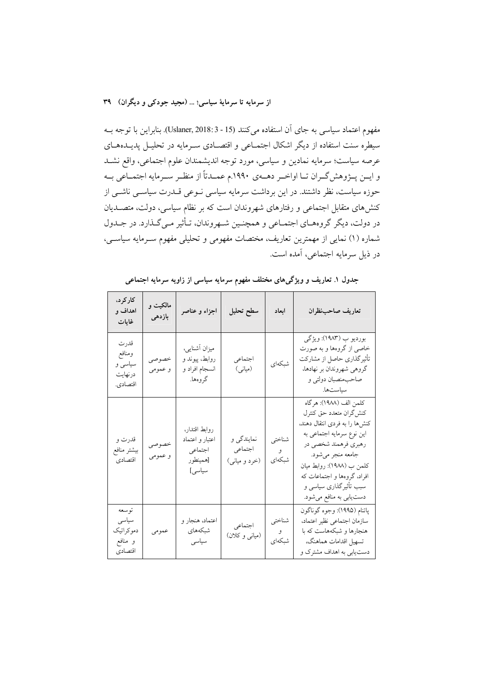مفهوم اعتماد سیاسی به جای آن استفاده می کنند (Uslaner, 2018: 3 - 15). بنابراین با توجه بـه سیطره سنت استفاده از دیگر اشکال اجتمـاعی و اقتصـادی سـرمایه در تحلیـل پدیـدهـای عرصه سیاست؛ سرمایه نمادین و سیاسی، مورد توجه اندیشمندان علوم اجتماعی، واقع نشـد و ایــن پــژوهش گــران تــا اواخــر دهــهي ١٩٩٠.م عمــدتاً از منظــر ســرمايه اجتمــاعي بــه حوزه سیاست، نظر داشتند. در این برداشت سرمایه سیاسی نــوعی قــدرت سیاســی ناشــی از کنشهای متقابل اجتماعی و رفتارهای شهروندان است که بر نظام سیاسی، دولت، متصــدیان در دولت، دیگر گروههـاي اجتمـاعي و همچنـين شـهروندان، تـأثير مـيگـذارد. در جـدول شماره (۱) نمایی از مهمترین تعاریف، مختصات مفهومی و تحلیلی مفهوم سـرمایه سیاســی، در ذیل سرمایه اجتماعی، آمده است.

| کار کر د،<br>اهداف و<br>غايات                     | مالکیت و<br>بازدهى | اجزاء و عناصر                                                     | سطح تحليل                              | ابعاد                 | تعاريف صاحبنظران                                                                                                                                                                                                                                                               |
|---------------------------------------------------|--------------------|-------------------------------------------------------------------|----------------------------------------|-----------------------|--------------------------------------------------------------------------------------------------------------------------------------------------------------------------------------------------------------------------------------------------------------------------------|
| قدرت<br>ومنافع<br>سیاسی و<br>درنهايت<br>اقتصادي.  | خصوصى<br>و عمومی   | ميزان أشنايي،<br>روابط، پیوند و<br>انسجام افراد و<br>گروهها.      | اجتماعي<br>(میانی)                     | شبكهاى                | بورديو ب (١٩٨٣): ويژگي<br>خاصي از گروهها و به صورت<br>تأثیرگذاری حاصل از مشارکت<br>گروهی شهروندان بر نهادها،<br>صاحب.نصبان دولتی و<br>سياستها.                                                                                                                                 |
| قدرت و<br>بيشتر منافع<br>اقتصادي                  | خصوصى<br>و عمومي   | روابط اقتدار،<br>اعتبار و اعتماد<br>اجتماعي<br>[همينطور<br>سياسى] | نمایندگی و<br>اجتماعي<br>(خرد و میانی) | شناختي<br>و<br>شبكهاي | كلمن الف (١٩٨٨): هرگاه<br>كنش گران متعدد حق كنترل<br>کنشها را به فردی انتقال دهند،<br>این نوع سرمایه اجتماعی به<br>رهبري فرهمند شخصي در<br>جامعه منجر مي شود.<br>كلمن ب (١٩٨٨): روابط ميان<br>افراد، گروهها و اجتماعات که<br>سبب تأثیرگذاری سیاسی و<br>دستیابی به منافع میشود. |
| توسعه<br>سياسى<br>دموكراتيك<br>و منافع<br>اقتصادي | عمومي              | اعتماد، هنجار و<br>شبكەهاي<br>سياسى                               | اجتماعي<br>(میانی و کلان)              | شناختي<br>و<br>شبكهاي | پاتنام (١٩٩٥): وجوه گوناگون<br>سازمان اجتماعي نظير اعتماد،<br>هنجارها و شبکههاست که با<br>تسهيل اقدامات هماهنگ،<br>دست یابی به اهداف مشترک و                                                                                                                                   |

جدول ۱. تعاریف و ویژگیهای مختلف مفهوم سرمایه سیاسی از زاویه سرمایه اجتماعی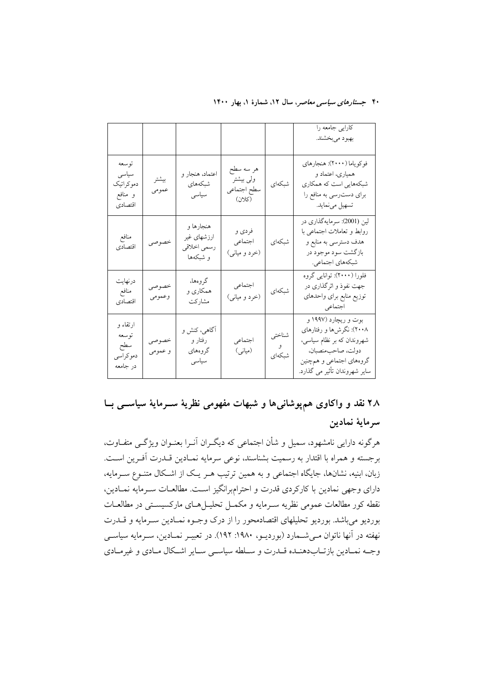|                                                    |                  |                                                     |                                                 |                                   | كارايي جامعه را<br>بهبود ميبخشند.                                                                                                                                |
|----------------------------------------------------|------------------|-----------------------------------------------------|-------------------------------------------------|-----------------------------------|------------------------------------------------------------------------------------------------------------------------------------------------------------------|
| توسعه<br>سياسى<br>دموكراتيك<br>و منافع<br>اقتصادي  | بيشتر<br>عمومى   | اعتماد، هنجار و<br>شبكەهاي<br>سياسى                 | هر سه سطح<br>ولى بيشتر<br>سطح اجتماعي<br>(كلان) | شبكهاي                            | فوكوياما (٢٠٠٠): هنجارهاي<br>همیاری، اعتماد و<br>شبکههایی است که همکاری<br>برای دست٫سی به منافع را<br>تسهيل مينمايد.                                             |
| منافع<br>اقتصادي                                   | خصوصى            | هنجارها و<br>ارزشهاي غير<br>رسمي اخلاقي<br>و شبکهها | فردي و<br>اجتماعي<br>(خرد و میانی)              | شبكهاي                            | لین (2001): سرمایهگذاری در<br>روابط و تعاملات اجتماعی با<br>هدف دسترسی به منابع و<br>بازگشت سود موجود در<br>شبکههای اجتماعی.                                     |
| درنهايت<br>منافع<br>اقتصادي                        | خصوصى<br>وعمومى  | گروهها،<br>همکاری و<br>مشاركت                       | اجتماعي<br>(خرد و میانی)                        | شبكهاي                            | فلورا (٢٠٠٠): توانایی گروه<br>جهت نفوذ و اثرگذاری در<br>توزيع منابع براي واحدهاي<br>اجتماعي                                                                      |
| ارتقاء و<br>توسعه<br>سطح<br>دمو کر اسی<br>در جامعه | خصوصى<br>و عمومي | آگاهی، کنش و<br>رفتار و<br>گروههای<br>سياسى         | اجتماعي<br>(میانی)                              | شناختي<br>$\mathcal{S}$<br>شبكهاي | بوت و ریچارد (۱۹۹۷ و<br>۲۰۰۸): نگرشها و رفتارهای<br>شهروندان که بر نظام سیاسی،<br>دولت، صاحب.نصبان.<br>گروههای اجتماعی و همچنین<br>سایر شهروندان تأثیر می گذارد. |

# ۲۸ نقد و واکاوی همپوشانیها و شبهات مفهومی نظریهٔ سـرمایهٔ سیاســی بــا سرماية نمادين

هرگونه دارایی نامشهود، سمیل و شأن اجتماعی که دیگـران آنـرا بعنـوان ویژگـی متفـاوت، برجسته و همراه با اقتدار به رسمیت بشناسند، نوعی سرمایه نمـادین قــدرت أفـرین اسـت. زبان، ابنیه، نشانها، جایگاه اجتماعی و به همین ترتیب هـر یـک از اشـکال متنـوع سـرمایه، دارای وجهی نمادین با کارکردی قدرت و احترامبرانگیز است. مطالعـات سـرمایه نمـادین، نقطه کور مطالعات عمومی نظریه سـرمایه و مکمـل تحلیـلهـای مارکسیسـتی در مطالعـات بورديو مي باشد. بورديو تحليلهاي اقتصادمحور را از درک وجـوه نمـادين سـرمايه و قــدرت نهفته در آنها ناتوان مـیشـمارد (بوردیـو، ۱۹۸۰: ۱۹۲). در تعبیـر نمـادین، سـرمایه سیاسـی وجـه نمـادين بازتــابدهنــده قــدرت و ســلطه سياســي ســاير اشــكال مــادي و غيرمــادي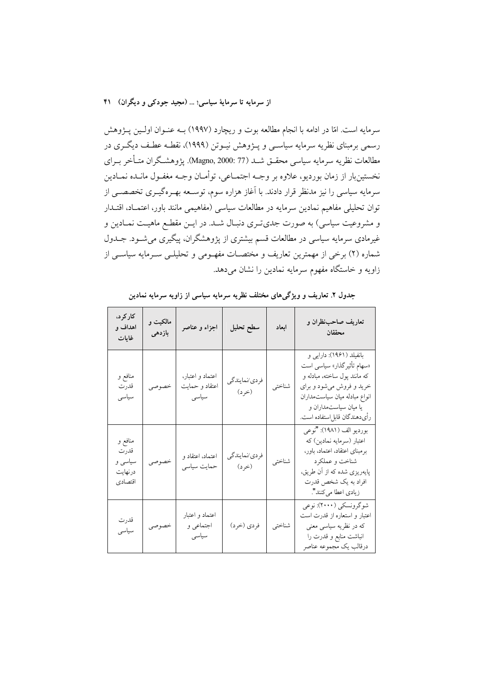سرمایه است. امّا در ادامه با انجام مطالعه بوت و ریچارد (۱۹۹۷) بـه عنـوان اولـین پـژوهش رسمی برمبنای نظریه سرمایه سیاســی و پــژوهش نیــوتن (۱۹۹۹)، نقطــه عطـف دیگــری در مطالعات نظريه سرمايه سياسي محقــق شــد (77 :Magno, 2000). پژوهشــگران متــأخر بــراي نخستينبار از زمان بورديو، علاوه بر وجــه اجتمــاعي، توأمــان وجــه مغفــول مانــده نمــادين سرمایه سیاسی را نیز مدنظر قرار دادند. با آغاز هزاره سوم، توسـعه بهـرهگیـری تخصصــی از توان تحلیلی مفاهیم نمادین سرمایه در مطالعات سیاسی (مفاهیمی مانند باور، اعتمـاد، اقتـدار و مشروعیت سیاسی) به صورت جدی تـری دنبـال شــد. در ایــن مقطـع ماهیــت نمــادین و غیرمادی سرمایه سیاسی در مطالعات قسم بیشتری از پژوهشگران، پیگیری می شود. جــدول شماره (۲) برخی از مهمترین تعاریف و مختصـات مفهـومی و تحلیلـی سـرمایه سیاسـی از زاویه و خاستگاه مفهوم سرمایه نمادین را نشان می دهد.

| کار کر د،<br>اهداف و<br>غايات                    | مالکیت و<br>بازدهى | اجزاء و عناصر                               | سطح تحليل              | ابعاد  | تعاريف صاحبنظران و<br>محققان                                                                                                                                                                                 |
|--------------------------------------------------|--------------------|---------------------------------------------|------------------------|--------|--------------------------------------------------------------------------------------------------------------------------------------------------------------------------------------------------------------|
| منافع و<br>قدرت<br>سياسى                         | خصوصى              | اعتماد و اعتبار،<br>اعتقاد و حمایت<br>سياسى | فردي/نمايندگي<br>(خرد) | شناختي | بانفیلد (۱۹۶۱): دارایی و<br>«سهام تأثيرگذار» سياسي است<br>که مانند پول ساخته، مبادله و<br>خرید و فروش می شود و برای<br>انواع مبادله ميان سياستمداران<br>یا میان سیاستمداران و<br>رأىدهندگان قابل ستفاده است. |
| منافع و<br>قدرت<br>سیاسی و<br>درنهايت<br>اقتصادي | خصوصى              | اعتماد، اعتقاد و<br>حمایت سیاسی             | فردي/نمايندگي<br>(خرد) | شناختي | بورديو الف (١٩٨١): "نوعي<br>اعتبار (سرمايه نمادين) كه<br>برمبناى اعتقاد، اعتماد، باور،<br>شناخت و عملكرد<br>پایهریزی شده که از آن طریق،<br>افراد به يک شخص قدرت<br>زيادي اعطا م <sub>ي</sub> كنند".          |
| قدرت<br>سياسى                                    | خصوصي              | اعتماد و اعتبار<br>اجتماعی و<br>سياسى       | فردي (خرد)             | شناختي | شوگرونسكي (٢٠٠٠): نوعي<br>اعتبار و استعاره از قدرت است<br>که در نظریه سیاسی معنی<br>انباشت منابع و قدرت را<br>درقالب يک مجموعه عناصر                                                                         |

جدول ۲. تعاریف و ویژگیهای مختلف نظریه سرمایه سیاسی از زاویه سرمایه نمادین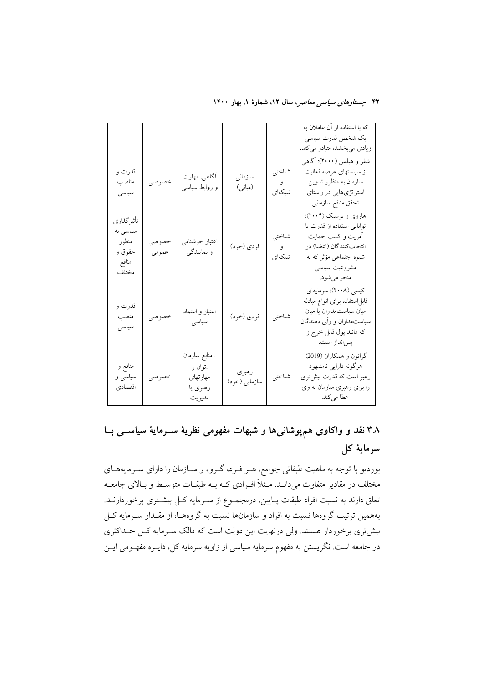|                                                              |                |                                                             |                        |                         | که با استفاده از آن عاملان به<br>یک شخص قدرت سیاسی<br>زیادی میبخشد، متبادر میکند.                                                                               |
|--------------------------------------------------------------|----------------|-------------------------------------------------------------|------------------------|-------------------------|-----------------------------------------------------------------------------------------------------------------------------------------------------------------|
| قدرت و<br>مناصب<br>سياسى                                     | خصوصى          | آگاهي، مهارت<br>و روابط سیاسی                               | سازمانى<br>(میانی)     | شناختي<br>و .<br>شيكەاي | شفر و هیلمن (۲۰۰۰): آگاهی<br>از سیاستهای عرصه فعالیت<br>سازمان به منظور تدوين<br>استراتژیهایی در راستای<br>تحقق منافع سازمانى                                   |
| تأثير گذاري<br>سیاسی به<br>منظور<br>حقوق و<br>منافع<br>مختلف | خصوصى<br>عمومي | اعتبار خوشنامي<br>و نمایندگی                                | فردي (خرد)             | شناختي<br>و<br>شبكهاي   | هاروي و نوسيک (۲۰۰۴):<br>توانایی استفاده از قدرت یا<br>أمريت و كسب حمايت<br>انتخاب كنندگان (اعضا) در<br>شیوه اجتماعی مؤثر که به<br>مشروعيت سياسي<br>منجر ميشود. |
| قدرت و<br>منصب<br>سياسى                                      | خصوصي          | اعتبار و اعتماد<br>سياسى                                    | فردي (خرد)             | شناختي                  | كيسى (٢٠٠٨): سرمايهاي<br>قابل ستفاده براى انواع مبادله<br>میان سیاستمداران یا میان<br>سیاستمداران و رأی دهندگان<br>که مانند پول قابل خرج و<br>پسانداز است.      |
| منافع و<br>سیاسی و<br>اقتصادي                                | خصوصى          | . منابع سازمان<br>.توان و<br>مهارتهاى<br>رهبري يا<br>مديريت | رهبري<br>سازماني (خرد) | شناختي                  | گراتون و همکاران (2019):<br>هرگونه دارایی نامشهود<br>رهبر است که قدرت بیشتری<br>را برای رهبری سازمان به وی<br>اعطا میکند.                                       |

۳۸ نقد و واکاوی همپوشانیها و شبهات مفهومی نظریهٔ سـرمایهٔ سیاســی بــا سرماية كل

بوردیو با توجه به ماهیت طبقاتی جوامع، هـر فـرد، گـروه و سـازمان را دارای سـرمایههـای مختلف در مقادیر متفاوت میدانـد. مــثلاً افــرادی کــه بــه طبقــات متوســط و بــالای جامعــه تعلق دارند به نسبت افراد طبقات پـايين، درمجمــوع از ســرمايه كــل بيشــترى برخوردارنــد. بههمین ترتیب گروهها نسبت به افراد و سازمانها نسبت به گروههـا، از مقــدار ســرمایه کــل بیشتری برخوردار هستند. ولی درنهایت این دولت است که مالک سـرمایه کـل حـداکثری در جامعه است. نگریستن به مفهوم سرمایه سیاسی از زاویه سرمایه کل، دایــره مفهــومی ایــن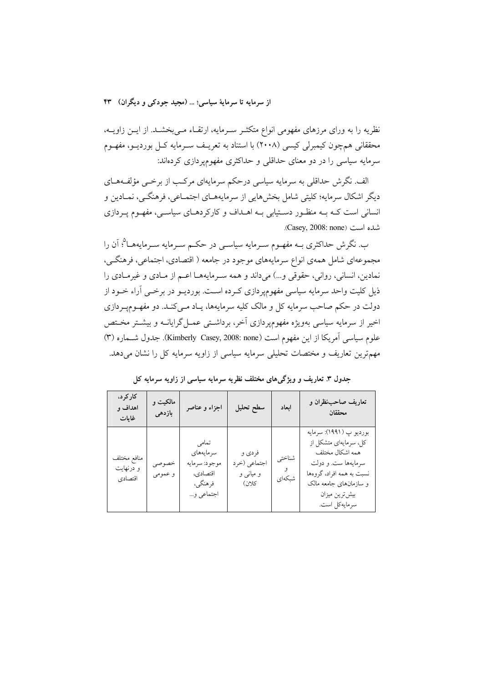نظریه را به ورای مرزهای مفهومی انواع متکثـر سـرمایه، ارتقـاء مـیبخشـد. از ایــن زاویــه، محققانی همچون کیمبرلی کیسی (۲۰۰۸) با استناد به تعریـف سـرمایه کــل بوردیــو، مفهــوم سرمایه سیاسی را در دو معنای حداقلی و حداکثری مفهومپردازی کردهاند:

الف. نگرش حداقلی به سرمایه سیاسی درحکم سرمایهای مرکب از برخــی مؤلفـههــای دیگر اشکال سرمایه؛ کلیتی شامل بخشهایی از سرمایههـای اجتمـاعی، فرهنگـی، نمـادین و انسانی است کـه بـه منظـور دسـتیابی بـه اهـداف و کارکردهـای سیاسـی، مفهـوم پـردازی شده است (Casey, 2008: none).

ب. نگرش حداکثری بــه مفهــوم ســرمایه سیاســی در حکــم ســرمایه ســرمایههــا<sup>۵</sup>؛ آن را مجموعهای شامل همهی انواع سرمایههای موجود در جامعه ( اقتصادی، اجتماعی، فرهنگــی، نمادين، انساني، رواني، حقوقي و...) مي داند و همه سـرمايههـا اعـم از مـادي و غيرمـادي را ذیل کلیت واحد سرمایه سیاسی مفهومپردازی کـرده اسـت. بوردیــو در برخــی آراء خــود از دولت در حکم صاحب سرمایه کل و مالک کلیه سرمایهها، پـاد مــی کنــد. دو مفهــومیــردازی اخیر از سرمایه سیاسی بهویژه مفهومپردازی آخر، برداشتی عمـل گرایانــه و بیشـتر مخـتص علوم سياسي أمريكا از اين مفهوم است (Kimberly Casey, 2008: none). جدول شــماره (٣) مهمترین تعاریف و مختصات تحلیلی سرمایه سیاسی از زاویه سرمایه کل را نشان میدهد.

| کار کر د،<br>اهداف و<br>غايات       | مالکیت و<br>بازدهى | اجزاء و عناصر                                                            | سطح تحليل                                    | ابعاد            | تعاريف صاحبنظران و<br>محققان                                                                                                                                                         |
|-------------------------------------|--------------------|--------------------------------------------------------------------------|----------------------------------------------|------------------|--------------------------------------------------------------------------------------------------------------------------------------------------------------------------------------|
| منافع مختلف<br>و درنهایت<br>اقتصادي | خصوصى<br>و عمومي   | تمامى<br>سرمايههاى<br>موجود: سرمايه<br>اقتصادي،<br>فرهنگي،<br>اجتماعی و… | فردي و<br>اجتماعي (خرد<br>و میانی و<br>كلان) | شناختي<br>شبكەاي | بورديو پ (١٩٩١): سرمايه<br>کل، سرمایهای متشکل از<br>همه اشكال مختلف<br>سرمايهها ست. و دولت<br>نسبت به همه افراد، گروهها<br>و سازمانهای جامعه مالک<br>بيش ترين ميزان<br>سرمايەكل است. |

جدول ۳. تعاریف و ویژگیهای مختلف نظریه سرمایه سیاسی از زاویه سرمایه کل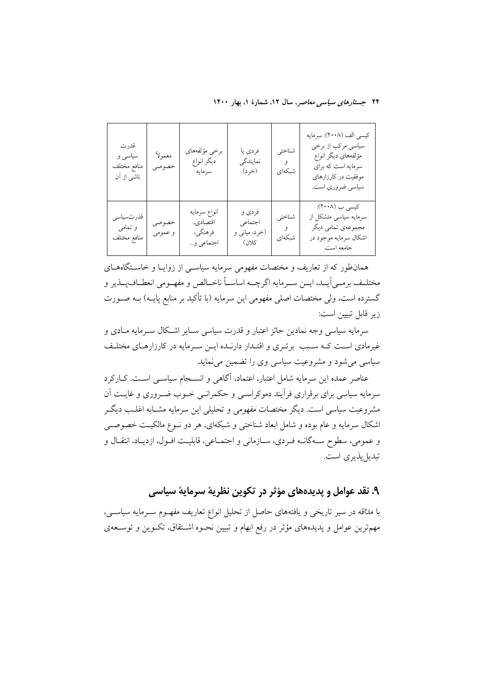۴۴ جستارهای سی*اسی معاصر*، سال ۱۲، شمارهٔ ۱، بهار ۱۴۰۰

| قدرت<br>سیاسی و<br>منافع مختلف<br>ناشی از آن | معمولأ<br>خصوصى  | برخى مؤلفههاى<br>دیگر انواع<br>سرمايه             | فردي يا<br>نمايندگي<br>(خرد)                            | شناختى<br>و<br>شىكەاي | كيسى الف (٢٠٠٨): سرمايه<br>سیاسی مرکب از برخی<br>مؤلفههای دیگر انواع<br>سرمایه است که برای<br>موفقیت در کارزارهای<br>سیاسی ضروری است.<br>کیسی ب (۲۰۰۸): |
|----------------------------------------------|------------------|---------------------------------------------------|---------------------------------------------------------|-----------------------|---------------------------------------------------------------------------------------------------------------------------------------------------------|
| قدرتسياسي<br>و تمامی<br>منافع مختلف          | خصوصى<br>و عمومی | انواع سرمايه<br>اقتصادي،<br>فرهنگي،<br>اجتماعي و… | فردي و<br>اجتماعي<br>(خرد، میان <sub>ی</sub> و<br>كلان) | شناختى<br>و<br>شبكەاي | سرمایه سیاسی متشکل از<br>مجموعهى تمامى ديگر<br>اشکال سرمایه موجود در<br>جامعه است.                                                                      |

همانطور که از تعاریف و مختصات مفهومی سرمایه سیاسم از زوایـا و خاسـتگاههـای مختلـف برمـي[يــد، ايــن ســرمايه اگرچــه اساســاً ناخــالص و مفهــومي انعطــافـپــذير و گسترده است، ولي مختصات اصلي مفهومي اين سرمايه (با تأكيد بر منابع پايـه) بــه صــورت زير قابل تبيين است:

سرمایه سیاسی وجه نمادین حائز اعتبار و قدرت سیاسی سـایر اشـكال سـرمایه مـادی و غیرمادی است کـه سـبب برتـری و اقتـدار دارنـده ایـن سـرمایه در کارزارهـای مختلـف سیاسی میشود و مشروعیت سیاسی وی را تضمین می نماید.

عناصر عمده این سرمایه شامل اعتبار، اعتماد، آگاهی و انســجام سیاســی اسـت. کــارکرد سرمایه سیاسی برای برقراری فرآیند دموکراســی و حکمرانــی خــوب ضــروری و غایــت آن مشروعیت سیاسی است. دیگر مختصات مفهومی و تحلیلی این سرمایه مشــابه اغلــب دیگــر اشکال سرمایه و عام بوده و شامل ابعاد شناختی و شبکهای، هر دو نــوع مالکیــت خصوصــی و عمومي، سطوح سـهگانــه فـردي، ســازماني و اجتمــاعي، قابليــت افــول، ازديــاد، انتقــال و تبدیل پذیری است.

# ۹. نقد عوامل و پدیدههای مؤثر در تکوین نظریهٔ سرمایهٔ سیاسی

با مداقه در سیر تاریخی و یافتههای حاصل از تحلیل انواع تعاریف مفهـوم سـرمایه سیاسـی، مهمترین عوامل و پدیدههای مؤثر در رفع ابهام و تبیین نحـوه اشـتقاق، تکـوین و توسـعهی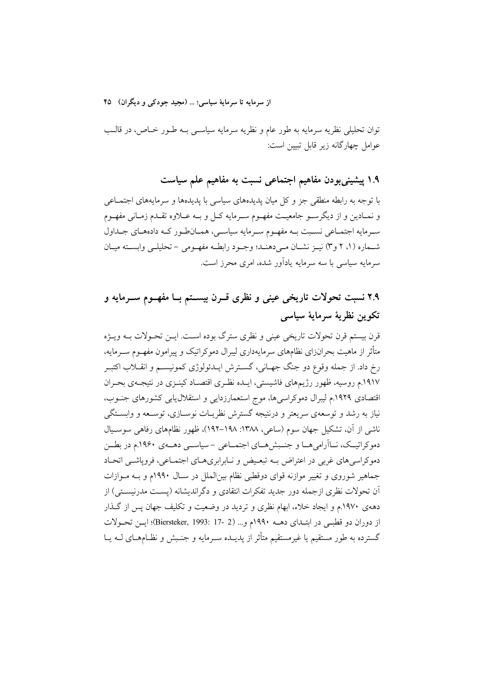از سرمايه تا سرمايهٔ سياسي؛ … (مجيد جودکي و ديگران) ۴۵

توان تحلیلی نظریه سرمایه به طور عام و نظریه سرمایه سیاســی بــه طــور خــاص، در قالــب عوامل چهارگانه زير قابل تبيين است:

۱.۹ پیشینیبودن مفاهیم اجتماعی نسبت به مفاهیم علم سیاست

با توجه به رابطه منطقی جز و کل میان پدیدههای سیاسی با پدیدهها و سرمایههای اجتمـاعی و نمـادين و از ديگرســو جامعيــت مفهــوم ســرمايه كــل و بــه عــلاوه تقــدم زمــاني مفهــوم سرمایه اجتمـاعی نسـبت بـه مفهـوم سـرمایه سیاسـی، همـانطـور کـه دادههـای جـداول شـماره (۱، ۲ و۳) نيـز نشـان مـي(دهنـد؛ وجـود رابطـه مفهـومي – تحليلـي وابسـته ميـان سرمایه سیاسی با سه سرمایه یادآور شده، امری محرز است.

# ۲.۹ نسبت تحولات تاریخی عینی و نظری قــرن بیســتم بــا مفهــوم ســرمایه و تكوين نظرية سرماية سياسى

قرن بيستم قرن تحولات تاريخي عيني و نظري سترگ بوده اسـت. ايــن تحـولات بــه ويــژه متأثر از ماهیت بحرانزای نظامهای سرمایهداری لیبرال دموکراتیک و پیرامون مفهـوم ســرمایه، رخ داد. از جمله وقوع دو جنگ جهـاني، گسـترش ايــدئولوژي كمونيســم و انقــلاب اكتبــر ١٩١٧.م روسيه، ظهور رژيمهاي فاشيستي، ايـده نظـري اقتصـاد كينـزي در نتيجـهي بحـران اقتصادی ١٩٢٩.م ليبرال دموكراسي ها، موج استعمارزدايي و استقلال يابي كشورهاى جنوب، نیاز به رشد و توسعهی سریعتر و درنتیجه گسترش نظریـات نوسـازی، توسـعه و وابســتگی ناشی از آن، تشکیل جهان سوم (ساعی، ۱۳۸۸: ۱۹۸–۱۹۲)، ظهور نظامهای رفاهی سوسـیال دموکراتیــک، نــااَرامی هــا و جنــبش هــای اجتمــاعی –سیاســی دهــهی ۱۹۶۰.م در بطــن دموکراسی های غربی در اعتراض بـه تبعـیض و نـابرابریهـای اجتمـاعی، فرویاشـی اتحـاد جماهیر شوروی و تغییر موازنه قوای دوقطبی نظام بین(لملل در سـال ۱۹۹۰م و بـه مـوازات اّن تحولات نظری ازجمله دور جدید تفکرات انتقادی و دگراندیشانه (یسـت مدرنیسـتی) از دههی ۱۹۷۰.م و ایجاد خلاء، ابهام نظری و تردید در وضعیت و تکلیف جهان پس از گذار از دوران دو قطبـي در ابتـداي دهــه ١٩٩٠م و... (2 -17 :Biersteker, 1993)؛ ايــن تحــولات گسترده به طور مستقیم یا غیرمستقیم متأثر از پدیــده ســرمایه و جنــبش و نظــامهــای لــه یــا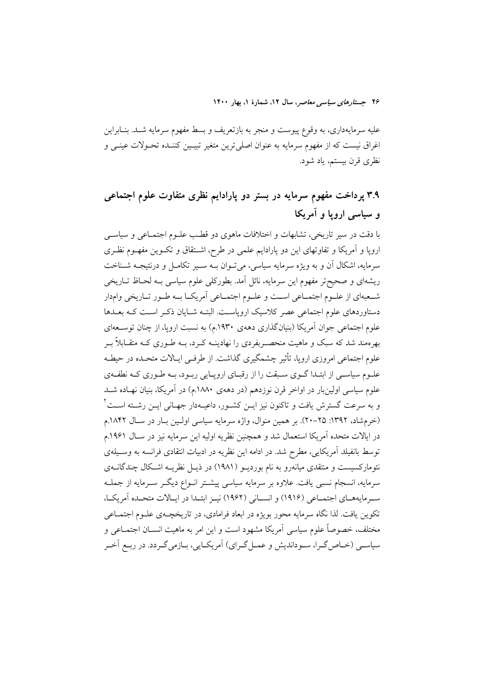علیه سرمایهداری، به وقوع پیوست و منجر به بازتعریف و بسط مفهوم سرمایه شــد. بنــابراین اغراق نیست که از مفهوم سرمایه به عنوان اصلی ترین متغیر تبیـین کننـده تحـولات عینـی و نظري قرن بيستم، ياد شود.

# ۳.۹ پرداخت مفهوم سرمایه در بستر دو پارادایم نظری متفاوت علوم اجتماعی و سیاسی اروپا و آمریکا

با دقت در سیر تاریخی، تشابهات و اختلافات ماهوی دو قطب علـوم اجتمــاعی و سیاســی اروپا و آمریکا و تفاوتهای این دو پارادایم علمی در طرح، اشتقاق و تکـوین مفهـوم نظـری سرمایه، اشکال آن و به ویژه سرمایه سیاسی، می تـوان بــه ســیر تکامــل و درنتیجــه شــناخت ریشهای و صحیحتر مفهوم این سرمایه، نائل آمد. بطورکلی علوم سیاسی بـه لحــاظ تــاریخی شـعبهاي از علـوم اجتمــاعي اســت و علــوم اجتمــاعي أمريكــا بــه طــور تــاريخي وامدار دستاوردهای علوم اجتماعی عصر کلاسیک ارویاست. البتـه شـایان ذکـر اسـت کـه بعـدها علوم اجتماعی جوان اَمریکا (بنیانگذاری دههی ۱۹۳۰.م) به نسبت اروپا، از چنان توســعهای بهرهمند شد که سبک و ماهیت منحصــربفردی را نهادینــه کــرد، بــه طــوری کــه متقــابلاً بــر علوم اجتماعی امروزی اروپا، تأثیر چشمگیری گذاشت. از طرفـی ایـالات متحـده در حیطـه علـوم سیاسـی از ابتـدا گــوی ســبقت را از رقبــای ارویــایی ربــود، بــه طــوری کــه نطفــهی علوم سیاسی اولینبار در اواخر قرن نوزدهم (در دههی ۱۸۸۰.م) در آمریکا، بنیان نهـاده شــد و به سرعت گسترش یافت و تاکنون نیز ایــن کشــور، داعیــهدار جهــانی ایــن رشــته اســت ٔ (خرم شاد، ۱۳۹۲: ۲۵-۲۰). بر همین منوال، واژه سرمایه سیاسی اولین بار در سال ۱۸۴۲.م در ايالات متحده آمريكا استعمال شد و همچنين نظريه اوليه اين سرمايه نيز در ســال ۱۹۶۱.م توسط بانفیلد آمریکایی، مطرح شد. در ادامه این نظریه در ادبیات انتقادی فرانسه به وسـیلهی نئومارکسیست و منتقدی میانهرو به نام بوردیــو (۱۹۸۱) در ذیــل نظریــه اشــکال چندگانــهی سرمایه، انسجام نسبی یافت. علاوه بر سرمایه سیاسی پیشتر انـواع دیگـر سـرمایه از جملـه سبرمايههــاي اجتمــاعي (١٩١۶) و انســاني (١٩۶٢) نيــز ابتــدا در ايــالات متحــده آمريكــا، تکوین یافت. لذا نگاه سرمایه محور بویژه در ابعاد فرامادی، در تاریخچــهی علــوم اجتمــاعی مختلف، خصوصاً علوم سياسي آمريكا مشهود است و اين امر به ماهيت انســان اجتمــاعي و سیاســي (خــاص گــرا، ســودانديش و عمــل گــراي) آمريكــايي، بــازمي گــردد. در ربــع آخــر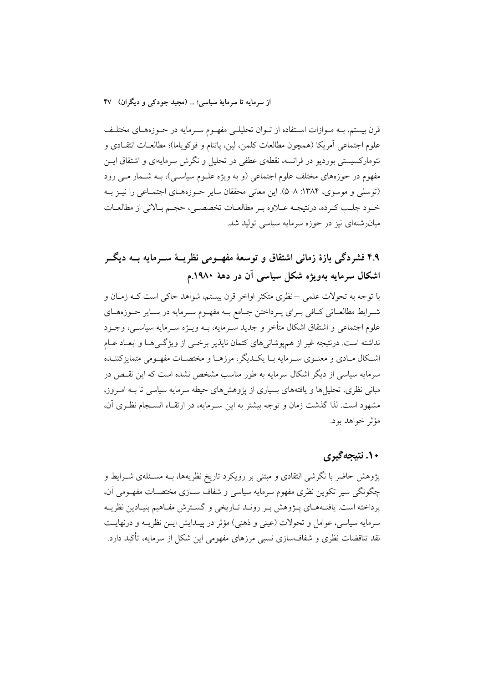قرن بیستم، بــه مــوازات اســتفاده از تــوان تحلیلــی مفهــوم ســرمایه در حــوزههــای مختلــف علوم اجتماعي أمريكا (همچون مطالعات كلمن، لين، پاتنام و فوكوياما)؛ مطالعــات انتقــادي و نئومارکسیستی بوردیو در فرانسه، نقطهی عطفی در تحلیل و نگرش سرمایهای و اشتقاق ایــن مفهوم در حوزههای مختلف علوم اجتماعی (و به ویژه علـوم سیاســی)، بــه شــمار مــی رود (توسلی و موسوی، ۱۳۸۴: ۸–۵). این معانی محققان سایر حـوزههـای اجتمـاعی را نیـز بـه خـود جلـب كـرده، درنتيجـه عــلاوه بـر مطالعــات تخصصــي، حجـم بـالائي از مطالعــات میانرشتهای نیز در حوزه سرمایه سیاسی تولید شد.

۴.۹ فشردگی بازهٔ زمانی اشتقاق و توسعهٔ مفهــومی نظریــهٔ ســرمایه بــه دیگــر اشکال سرمایه بهویژه شکل سیاسی آن در دههٔ ۱۹۸۰.م

با توجه به تحولات علمی —نظری متکثر اواخر قرن بیستم، شواهد حاکی است کــه زمــان و شـرايط مطالعـاتي كـافي بـراي پـرداختن جـامع بـه مفهـوم سـرمايه در سـاير حـوزههـاي علوم اجتماعی و اشتقاق اشکال متأخر و جدید سـرمایه، بــه ویــژه ســرمایه سیاســی، وجــود نداشته است. درنتیجه غیر از همپوشانیهای کتمان ناپذیر برخمی از ویژگیها و ابعـاد عـام اشکال مـادي و معنـوي سـرمايه بـا يکـديگر، مرزهـا و مختصـات مفهـومي متمايزکننـده سرمایه سیاسی از دیگر اشکال سرمایه به طور مناسب مشخص نشده است که این نقـص در مبانی نظری، تحلیل ها و یافتههای بسیاری از پژوهشهای حیطه سرمایه سیاسی تا بـه امـروز، مشهود است. لذا گذشت زمان و توجه بیشتر به این سـرمایه، در ارتقـاء انســجام نظـری آن، مؤثر خواهد بود.

## ۱۰. نتيجهگيري

پژوهش حاضر با نگرشی انتقادی و مبتنی بر رویکرد تاریخ نظریهها، بـه مسـئلهی شــرایط و چگونگی سپر تکوین نظری مفهوم سرمایه سیاسی و شفاف ســازی مختصــات مفهــومی آن، يرداخته است. يافتــههــاي پـــژوهش بــر رونــد تــاريخي و گســترش مفــاهيم بنيــادين نظريــه سرمايه سياسي، عوامل و تحولات (عيني و ذهني) مؤثر در پيـدايش ايــن نظريــه و درنهايــت نقد تناقضات نظری و شفافسازی نسبی مرزهای مفهومی این شکل از سرمایه، تأکید دارد.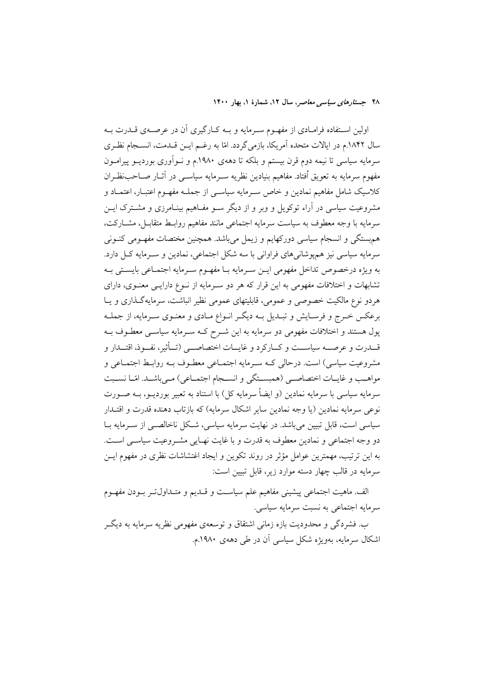اولین استفاده فرامادی از مفهـوم سـرمایه و بـه کـارگیری آن در عرصـهی قــدرت بـه سال ۱۸۴۲.م در ایالات متحده آمریکا، بازمی گردد. امّا به رغــم ایــن قــدمت، انســجام نظـری سرمایه سیاسی تا نیمه دوم قرن بیستم و بلکه تا دههی ۱۹۸۰.م و نـوآوری بوردیــو پیرامــون مفهوم سرمايه به تعويق اُفتاد. مفاهيم بنيادين نظريه سـرمايه سياســي در آثــار صــاحب:ظــران کلاسیک شامل مفاهیم نمادین و خاص سـرمایه سیاسـی از جملـه مفهـوم اعتبـار، اعتمـاد و مشروعیت سیاسی در آراء توکویل و وبر و از دیگر سـو مفـاهیم بینـامرزی و مشـترک ایـن سرمايه با وجه معطوف به سياست سرمايه اجتماعي مانند مفاهيم روابـط متقابـل، مشــاركت، هم ستگی و انسجام سیاسی دورکهایم و زیمل می باشد. همچنین مختصات مفهـومی کنـونی سرمایه سیاسی نیز همپوشانیهای فراوانی با سه شکل اجتماعی، نمادین و سـرمایه کـل دارد. به ويژه درخصوص تداخل مفهومي ايــن ســرمايه بــا مفهــوم ســرمايه اجتمــاعي بايســتي بــه تشابهات و اختلافات مفهومی به این قرار که هر دو سـرمایه از نــوع دارایــی معنــوی، دارای هردو نوع مالکیت خصوصی و عمومی، قابلیتهای عمومی نظیر انباشت، سرمایهگذاری و یــا برعکس خـرج و فرسـايش و تبـديل بـه ديگـر انـواع مـادي و معنـوي سـرمايه، از جملـه پول هستند و اختلافات مفهومی دو سرمایه به این شـرح کـه سـرمایه سیاســی معطـوف بــه قـــدرت و عرصـــه سیاســـت و کـــارکرد و غایـــات اختصاصـــی (تـــأثیر، نفـــوذ، اقتـــدار و مشروعيت سياسي) است. درحالي كــه ســرمايه اجتمــاعي معطــوف بــه روابــط اجتمــاعي و مواهـب و غايـات اختصاصـي (همبسـتگي و انســجام اجتمــاعي) مـيباشــد. امّــا نســبت سرمایه سیاسی با سرمایه نمادین (و ایضاً سرمایه کل) با استناد به تعبیر بوردیــو، بــه صــورت نوعي سرمايه نمادين (يا وجه نمادين ساير اشكال سرمايه) كه بازتاب دهنده قدرت و اقتــدار سیاسی است، قابل تبیین میباشد. در نهایت سرمایه سیاسی، شـکل ناخالصـی از ســرمایه بــا دو وجه اجتماعی و نمادین معطوف به قدرت و با غایت نهـایی مشـروعیت سیاسـی اسـت. به این ترتیب، مهمترین عوامل مؤثر در روند تکوین و ایجاد اغتشاشات نظری در مفهوم ایــن سرمایه در قالب چهار دسته موارد زیر، قابل تبیین است:

الف. ماهيت اجتماعي پيشيني مفاهيم علم سياست و قــديم و متــداولتـر بــودن مفهــوم سرمايه اجتماعي به نسبت سرمايه سياسي.

ب. فشردگی و محدودیت بازه زمانی اشتقاق و توسعهی مفهومی نظریه سرمایه به دیگـر اشکال سرمایه، بهویژه شکل سیاسی آن در طی دههی ۱۹۸۰.م.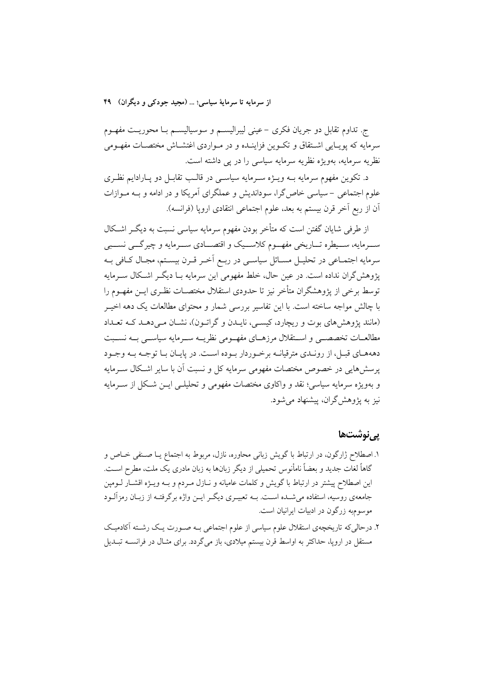ج. تداوم تقابل دو جريان فكرى – عينى ليبراليســم و سوسياليســم بــا محوريــت مفهــوم سرمایه که یویـایی اشـتقاق و تکـوین فزاینـده و در مـواردی اغتشـاش مختصـات مفهـومی نظریه سرمایه، بهویژه نظریه سرمایه سیاسی را در پی داشته است.

د. تکوین مفهوم سرمایه بــه ویـــژه ســـرمایه سیاســـی در قالــب تقابــل دو پــارادایـم نظــری علوم اجتماعی – سیاسی خاص گرا، سوداندیش و عملگرای آمریکا و در ادامه و بـه مــوازات أن از ربع أخر قرن بيستم به بعد، علوم اجتماعي انتقادي ارويا (فرانسه).

از طرفی شایان گفتن است که متأخر بودن مفهوم سرمایه سیاسی نسبت به دیگ اشـکال ســـرمايه، ســـيطره تـــاريخي مفهـــوم كلاســـيک و اقتصـــادي ســـرمايه و چيرگـــي نســـبي سرمايه اجتمـاعي در تحليـل مســائل سياســي در ربــع أخــر قــرن بيسـتم، مجـال كــافي بــه یژوهش گران نداده است. در عین حال، خلط مفهومی این سرمایه بــا دیگــر اشــکال ســرمایه توسط برخی از پژوهشگران متأخر نیز تا حدودی استقلال مختصــات نظـری ایــن مفهــوم را با چالش مواجه ساخته است. با این تفاسیر بررسی شمار و محتوای مطالعات یک دهه اخیــر (مانند پژوهش های بوت و ریچارد، کیسهی، نایـدن و گراتـون)، نشـان مـی دهـد کـه تعـداد مطالعــات تخصصــي و اســتقلال مرزهــاي مفهــومي نظريــه ســرمايه سياســي بــه نســبت دهههای قبـل، از رونـدی مترقیانـه برخـوردار بـوده اسـت. در پایـان بـا توجـه بـه وجـود یرسش هایی در خصوص مختصات مفهومی سرمایه کل و نسبت آن با سایر اشکال سـرمایه و بهویژه سرمایه سیاسی؛ نقد و واکاوی مختصات مفهومی و تحلیلــی ایــن شــکل از ســرمایه نیز به پژوهش گران، پیشنهاد میشود.

## **یے نوشتھا**

- ١. اصطلاح ژارگون، در ارتباط با گويش زباني محاوره، نازل، مربوط به اجتماع يـا صـنفي خـاص و گاهاً لغات جدید و بعضاً نامأنوس تحمیلی از دیگر زبانها به زبان مادری یک ملت، مطرح اسـت. این اصطلاح پیشتر در ارتباط با گویش و کلمات عامیانه و نـازل مـردم و بـه ویـژه اقشـار لـومپن جامعهی روسیه، استفاده میشـده اسـت. بــه تعبیــری دیگــر ایــن واژه برگرفتــه از زبــان رمزآلــود موسوم به زرگون در ادبیات ایرانیان است.
- ۲. درحالی که تاریخچهی استقلال علوم سیاسی از علوم اجتماعی بـه صـورت یـک رشـته آکادمیـک مستقل در اروپا، حداکثر به اواسط قرن بیستم میلادی، باز میگردد. برای مثـال در فرانســه تبــدیل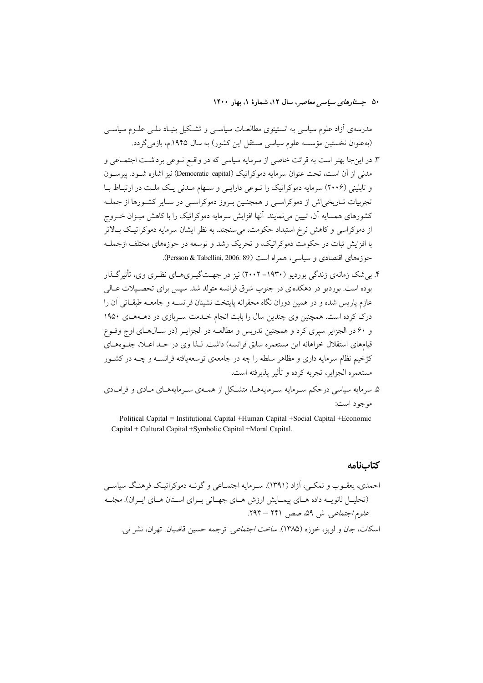مدرسەی آزاد علوم سیاسی به انستیتوی مطالعـات سیاســی و تشــکیل بنیـاد ملــی علــوم سیاســی (بهعنوان نخستین مؤسسه علوم سیاسی مستقل این کشور) به سال ۱۹۴۵.م، بازمی گردد.

- ۳. در اینجا بهتر است به قرائت خاصی از سرمایه سیاسی که در واقــع نــوعی برداشــت اجتمــاعی و مدنی از آن است، تحت عنوان سرمایه دموکراتیک (Democratic capital) نیز اشاره شــود. پیرســون و تابلینی (۲۰۰۶) سرمایه دموکراتیک را نبوعی دارایبی و سبهام مبدنی یک ملت در ارتباط ببا تجربیات تــاریخی|ش از دموکراســی و همچنــین بــروز دموکراســی در ســایر کشــورها از جملــه کشورهای همسایه آن، تبیین میiمایند. آنها افزایش سرمایه دموکراتیک را با کاهش میـزان خــروج از دموکراسی و کاهش نرخ استبداد حکومت، می سنجند. به نظر ایشان سرمایه دموکراتیک بـالاتر با افزایش ثبات در حکومت دموکراتیک، و تحریک رشد و توسعه در حوزههای مختلف ازجملـه حوزههای اقتصادی و سیاسی، همراه است (Persson & Tabellini, 2006: 89).
- ۴. په شک زمانهي زندگې پورديو (۱۹۳۰–۲۰۰۲) نيز در جهت گپ ی هياي نظري وي، تأثير گيذار بوده است. بوردیو در دهکدهای در جنوب شرق فرانسه متولد شد. سپس برای تحصـبلات عـالی عازم پاریس شده و در همین دوران نگاه محقرانه پایتخت نشینان فرانســه و جامعــه طبقــاتی آن را درک کرده است. همچنین وی چندین سال را بابت انجام خـلـمت سـربازی در دهـههـای ۱۹۵۰ و ۶۰ در الجزایر سیری کرد و همچنین تدریس و مطالعـه در الجزایـر (در سـالهـای اوج وقـوع قیامهای استقلال خواهانه این مستعمره سابق فرانسه) داشت. لـذا وی در حـد اعـلا، جلـوههـای کژخیم نظام سرمایه داری و مظاهر سلطه را چه در جامعهی توسعهیافته فرانســه و چــه در کشــور مستعمره الجزاير، تجربه كرده و تأثير يذيرفته است.
- ۵. سرمایه سیاسی درحکم سـرمایه سـرمایههـا، متشـکل از همـهی سـرمایههـای مـادی و فرامـادی موجود است:

Political Capital = Institutional Capital + Human Capital + Social Capital + Economic Capital + Cultural Capital + Symbolic Capital + Moral Capital.

#### كتابنامه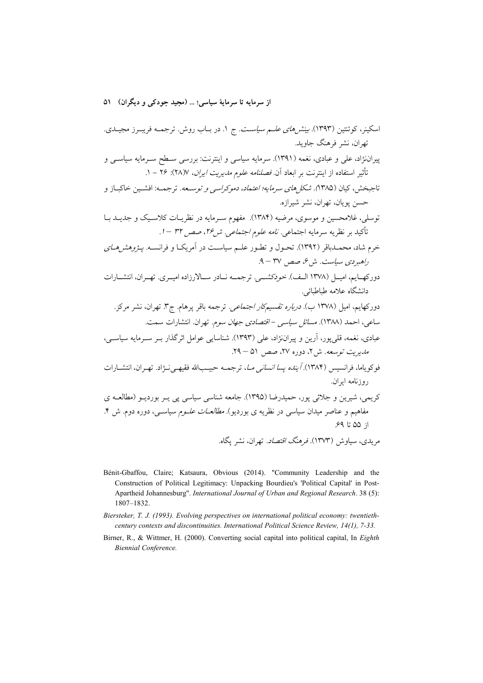- Bénit-Gbaffou, Claire; Katsaura, Obvious (2014). "Community Leadership and the Construction of Political Legitimacy: Unpacking Bourdieu's 'Political Capital' in Post-Apartheid Johannesburg". International Journal of Urban and Regional Research. 38 (5): 1807-1832.
- Biersteker, T. J. (1993). Evolving perspectives on international political economy: twentiethcentury contexts and discontinuities. International Political Science Review, 14(1), 7-33.
- Birner, R., & Wittmer, H. (2000). Converting social capital into political capital, In Eighth Biennial Conference.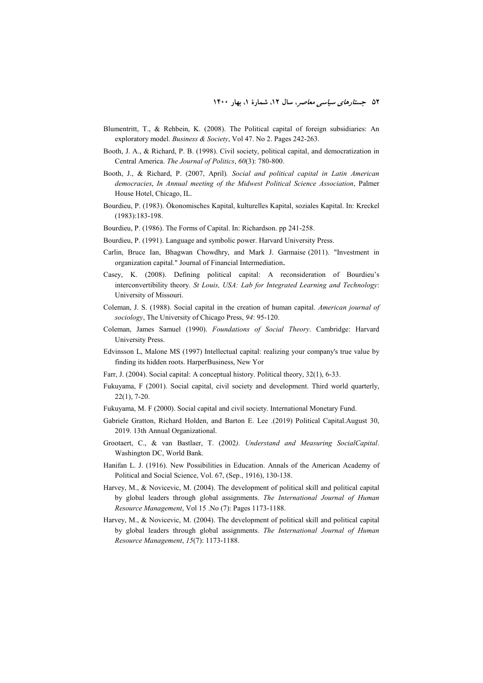- Blumentritt, T., & Rehbein, K. (2008). The Political capital of foreign subsidiaries: An exploratory model. *Business & Society*, Vol 47. No 2. Pages 242-263.
- Booth, J. A., & Richard, P. B. (1998). Civil society, political capital, and democratization in Central America. *The Journal of Politics*, *60*(3): 780-800.
- Booth, J., & Richard, P. (2007, April)*. Social and political capital in Latin American democracies*, *In Annual meeting of the Midwest Political Science Association*, Palmer House Hotel, Chicago, IL.
- Bourdieu, P. (1983). Ökonomisches Kapital, kulturelles Kapital, soziales Kapital. In: Kreckel (1983):183-198.
- Bourdieu, P. (1986). The Forms of Capital. In: Richardson. pp 241-258.
- Bourdieu, P. (1991). Language and symbolic power. Harvard University Press.
- Carlin, Bruce Ian, Bhagwan Chowdhry, and Mark J. Garmaise (2011). "Investment in organization capital." Journal of Financial Intermediation.
- Casey, K. (2008). Defining political capital: A reconsideration of Bourdieu's interconvertibility theory. *St Louis, USA: Lab for Integrated Learning and Technology*: University of Missouri.
- Coleman, J. S. (1988). Social capital in the creation of human capital. *American journal of sociology*, The University of Chicago Press, *94*: 95-120.
- Coleman, James Samuel (1990). *Foundations of Social Theory*. Cambridge: Harvard University Press.
- Edvinsson L, Malone MS (1997) Intellectual capital: realizing your company's true value by finding its hidden roots. HarperBusiness, New Yor
- Farr, J. (2004). Social capital: A conceptual history. Political theory, 32(1), 6-33.
- Fukuyama, F (2001). Social capital, civil society and development. Third world quarterly, 22(1), 7-20.
- Fukuyama, M. F (2000). Social capital and civil society. International Monetary Fund.
- Gabriele Gratton, Richard Holden, and Barton E. Lee .(2019) Political Capital.August 30, 2019. 13th Annual Organizational.
- Grootaert, C., & van Bastlaer, T. (2002*). Understand and Measuring SocialCapital*. Washington DC, World Bank.
- Hanifan L. J. (1916). New Possibilities in Education. Annals of the American Academy of Political and Social Science, Vol. 67, (Sep., 1916), 130-138.
- Harvey, M., & Novicevic, M. (2004). The development of political skill and political capital by global leaders through global assignments. *The International Journal of Human Resource Management*, Vol 15 .No (7): Pages 1173-1188.
- Harvey, M., & Novicevic, M. (2004). The development of political skill and political capital by global leaders through global assignments. *The International Journal of Human Resource Management*, *15*(7): 1173-1188.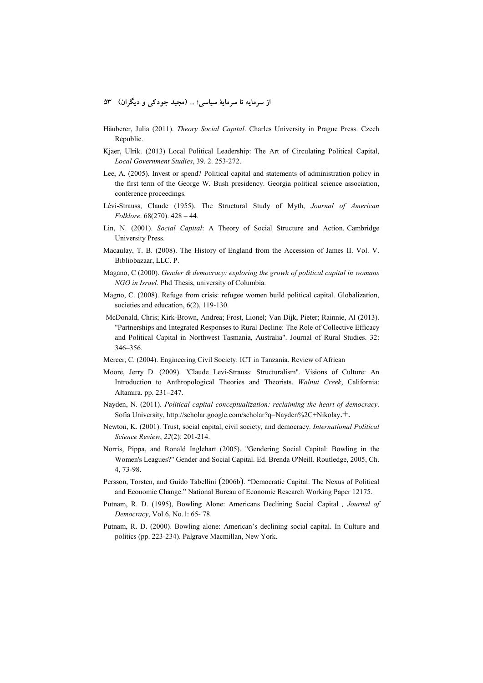- Häuberer, Julia (2011). *Theory Social Capital*. Charles University in Prague Press. Czech Republic.
- Kjaer, Ulrik. (2013) Local Political Leadership: The Art of Circulating Political Capital, *Local Government Studies*, 39. 2. 253-272.
- Lee, A. (2005). Invest or spend? Political capital and statements of administration policy in the first term of the George W. Bush presidency. Georgia political science association, conference proceedings.
- Lévi-Strauss, Claude (1955). The Structural Study of Myth, *Journal of American Folklore*. 68(270). 428 – 44.
- Lin, N. (2001). *Social Capital*: A Theory of Social Structure and Action. Cambridge University Press.
- Macaulay, T. B. (2008). The History of England from the Accession of James II. Vol. V. Bibliobazaar, LLC. P.
- Magano, C (2000). *Gender & democracy: exploring the growh of political capital in womans NGO in Israel*. Phd Thesis, university of Columbia.
- Magno, C. (2008). Refuge from crisis: refugee women build political capital. Globalization, societies and education, 6(2), 119-130.
- McDonald, Chris; Kirk-Brown, Andrea; Frost, Lionel; Van Dijk, Pieter; Rainnie, Al (2013). "Partnerships and Integrated Responses to Rural Decline: The Role of Collective Efficacy and Political Capital in Northwest Tasmania, Australia". Journal of Rural Studies. 32: 346–356.
- Mercer, C. (2004). Engineering Civil Society: ICT in Tanzania. Review of African
- Moore, Jerry D. (2009). "Claude Levi-Strauss: Structuralism". Visions of Culture: An Introduction to Anthropological Theories and Theorists. *Walnut Creek*, California: Altamira. pp. 231–247.
- Nayden, N. (2011). *Political capital conceptualization: reclaiming the heart of democracy*. Sofia University, http://scholar.google.com/scholar?q=Nayden%2C+Nikolay +..
- Newton, K. (2001). Trust, social capital, civil society, and democracy. *International Political Science Review*, *22*(2): 201-214.
- Norris, Pippa, and Ronald Inglehart (2005). "Gendering Social Capital: Bowling in the Women's Leagues?" Gender and Social Capital. Ed. Brenda O'Neill. Routledge, 2005, Ch. 4, 73-98.
- Persson, Torsten, and Guido Tabellini (2006b). "Democratic Capital: The Nexus of Political and Economic Change." National Bureau of Economic Research Working Paper 12175.
- Putnam, R. D. (1995), Bowling Alone: Americans Declining Social Capital *, Journal of Democracy*, Vol.6, No.1: 65- 78.
- Putnam, R. D. (2000). Bowling alone: American's declining social capital. In Culture and politics (pp. 223-234). Palgrave Macmillan, New York.